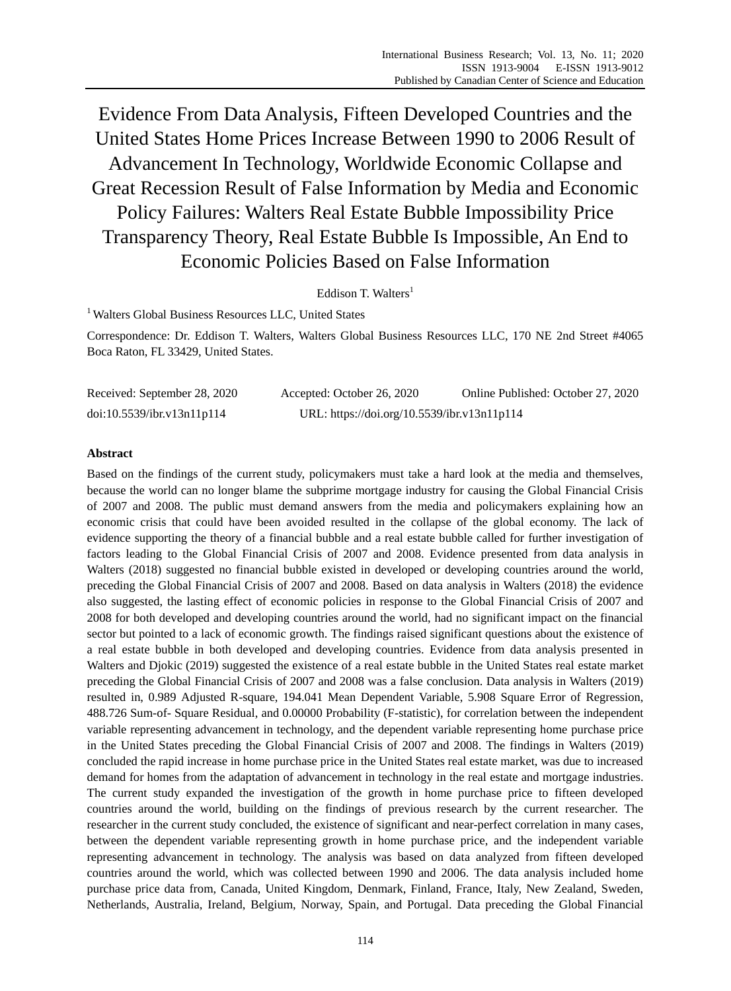Evidence From Data Analysis, Fifteen Developed Countries and the United States Home Prices Increase Between 1990 to 2006 Result of Advancement In Technology, Worldwide Economic Collapse and Great Recession Result of False Information by Media and Economic Policy Failures: Walters Real Estate Bubble Impossibility Price Transparency Theory, Real Estate Bubble Is Impossible, An End to Economic Policies Based on False Information

Eddison T. Walters<sup>1</sup>

<sup>1</sup> Walters Global Business Resources LLC, United States

Correspondence: Dr. Eddison T. Walters, Walters Global Business Resources LLC, 170 NE 2nd Street #4065 Boca Raton, FL 33429, United States.

| Received: September 28, 2020 | Accepted: October 26, 2020                  | Online Published: October 27, 2020 |
|------------------------------|---------------------------------------------|------------------------------------|
| doi:10.5539/ibr.v13n11p114   | URL: https://doi.org/10.5539/ibr.v13n11p114 |                                    |

## **Abstract**

Based on the findings of the current study, policymakers must take a hard look at the media and themselves, because the world can no longer blame the subprime mortgage industry for causing the Global Financial Crisis of 2007 and 2008. The public must demand answers from the media and policymakers explaining how an economic crisis that could have been avoided resulted in the collapse of the global economy. The lack of evidence supporting the theory of a financial bubble and a real estate bubble called for further investigation of factors leading to the Global Financial Crisis of 2007 and 2008. Evidence presented from data analysis in Walters (2018) suggested no financial bubble existed in developed or developing countries around the world, preceding the Global Financial Crisis of 2007 and 2008. Based on data analysis in Walters (2018) the evidence also suggested, the lasting effect of economic policies in response to the Global Financial Crisis of 2007 and 2008 for both developed and developing countries around the world, had no significant impact on the financial sector but pointed to a lack of economic growth. The findings raised significant questions about the existence of a real estate bubble in both developed and developing countries. Evidence from data analysis presented in Walters and Djokic (2019) suggested the existence of a real estate bubble in the United States real estate market preceding the Global Financial Crisis of 2007 and 2008 was a false conclusion. Data analysis in Walters (2019) resulted in, 0.989 Adjusted R-square, 194.041 Mean Dependent Variable, 5.908 Square Error of Regression, 488.726 Sum-of- Square Residual, and 0.00000 Probability (F-statistic), for correlation between the independent variable representing advancement in technology, and the dependent variable representing home purchase price in the United States preceding the Global Financial Crisis of 2007 and 2008. The findings in Walters (2019) concluded the rapid increase in home purchase price in the United States real estate market, was due to increased demand for homes from the adaptation of advancement in technology in the real estate and mortgage industries. The current study expanded the investigation of the growth in home purchase price to fifteen developed countries around the world, building on the findings of previous research by the current researcher. The researcher in the current study concluded, the existence of significant and near-perfect correlation in many cases, between the dependent variable representing growth in home purchase price, and the independent variable representing advancement in technology. The analysis was based on data analyzed from fifteen developed countries around the world, which was collected between 1990 and 2006. The data analysis included home purchase price data from, Canada, United Kingdom, Denmark, Finland, France, Italy, New Zealand, Sweden, Netherlands, Australia, Ireland, Belgium, Norway, Spain, and Portugal. Data preceding the Global Financial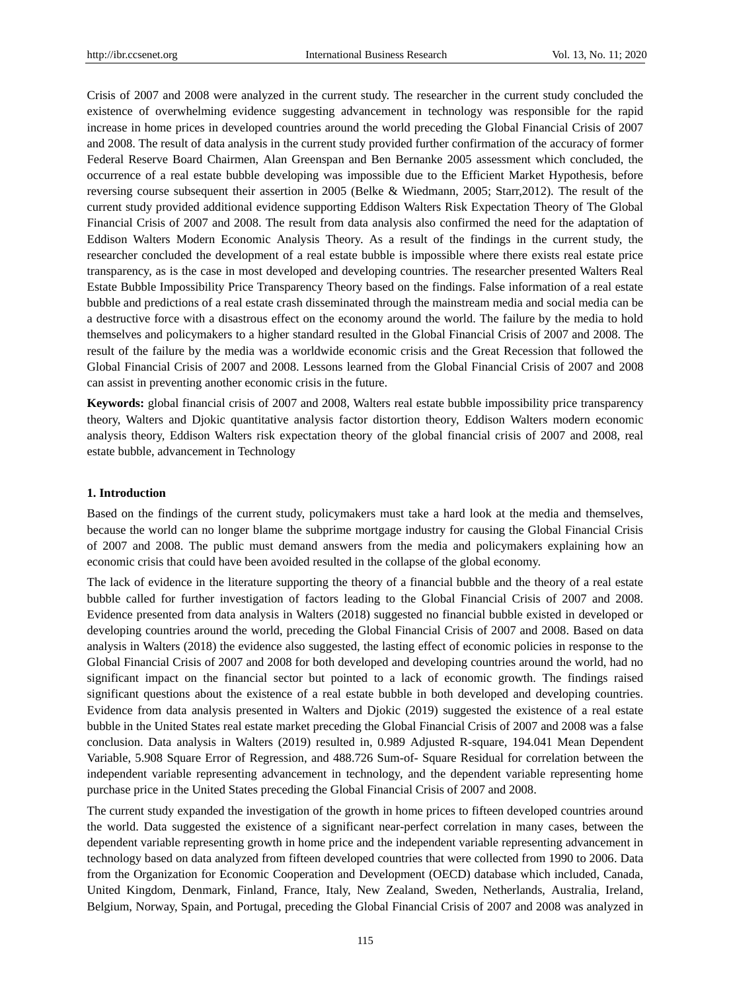Crisis of 2007 and 2008 were analyzed in the current study. The researcher in the current study concluded the existence of overwhelming evidence suggesting advancement in technology was responsible for the rapid increase in home prices in developed countries around the world preceding the Global Financial Crisis of 2007 and 2008. The result of data analysis in the current study provided further confirmation of the accuracy of former Federal Reserve Board Chairmen, Alan Greenspan and Ben Bernanke 2005 assessment which concluded, the occurrence of a real estate bubble developing was impossible due to the Efficient Market Hypothesis, before reversing course subsequent their assertion in 2005 (Belke & Wiedmann, 2005; Starr,2012). The result of the current study provided additional evidence supporting Eddison Walters Risk Expectation Theory of The Global Financial Crisis of 2007 and 2008. The result from data analysis also confirmed the need for the adaptation of Eddison Walters Modern Economic Analysis Theory. As a result of the findings in the current study, the researcher concluded the development of a real estate bubble is impossible where there exists real estate price transparency, as is the case in most developed and developing countries. The researcher presented Walters Real Estate Bubble Impossibility Price Transparency Theory based on the findings. False information of a real estate bubble and predictions of a real estate crash disseminated through the mainstream media and social media can be a destructive force with a disastrous effect on the economy around the world. The failure by the media to hold themselves and policymakers to a higher standard resulted in the Global Financial Crisis of 2007 and 2008. The result of the failure by the media was a worldwide economic crisis and the Great Recession that followed the Global Financial Crisis of 2007 and 2008. Lessons learned from the Global Financial Crisis of 2007 and 2008 can assist in preventing another economic crisis in the future.

**Keywords:** global financial crisis of 2007 and 2008, Walters real estate bubble impossibility price transparency theory, Walters and Djokic quantitative analysis factor distortion theory, Eddison Walters modern economic analysis theory, Eddison Walters risk expectation theory of the global financial crisis of 2007 and 2008, real estate bubble, advancement in Technology

## **1. Introduction**

Based on the findings of the current study, policymakers must take a hard look at the media and themselves, because the world can no longer blame the subprime mortgage industry for causing the Global Financial Crisis of 2007 and 2008. The public must demand answers from the media and policymakers explaining how an economic crisis that could have been avoided resulted in the collapse of the global economy.

The lack of evidence in the literature supporting the theory of a financial bubble and the theory of a real estate bubble called for further investigation of factors leading to the Global Financial Crisis of 2007 and 2008. Evidence presented from data analysis in Walters (2018) suggested no financial bubble existed in developed or developing countries around the world, preceding the Global Financial Crisis of 2007 and 2008. Based on data analysis in Walters (2018) the evidence also suggested, the lasting effect of economic policies in response to the Global Financial Crisis of 2007 and 2008 for both developed and developing countries around the world, had no significant impact on the financial sector but pointed to a lack of economic growth. The findings raised significant questions about the existence of a real estate bubble in both developed and developing countries. Evidence from data analysis presented in Walters and Djokic (2019) suggested the existence of a real estate bubble in the United States real estate market preceding the Global Financial Crisis of 2007 and 2008 was a false conclusion. Data analysis in Walters (2019) resulted in, 0.989 Adjusted R-square, 194.041 Mean Dependent Variable, 5.908 Square Error of Regression, and 488.726 Sum-of- Square Residual for correlation between the independent variable representing advancement in technology, and the dependent variable representing home purchase price in the United States preceding the Global Financial Crisis of 2007 and 2008.

The current study expanded the investigation of the growth in home prices to fifteen developed countries around the world. Data suggested the existence of a significant near-perfect correlation in many cases, between the dependent variable representing growth in home price and the independent variable representing advancement in technology based on data analyzed from fifteen developed countries that were collected from 1990 to 2006. Data from the Organization for Economic Cooperation and Development (OECD) database which included, Canada, United Kingdom, Denmark, Finland, France, Italy, New Zealand, Sweden, Netherlands, Australia, Ireland, Belgium, Norway, Spain, and Portugal, preceding the Global Financial Crisis of 2007 and 2008 was analyzed in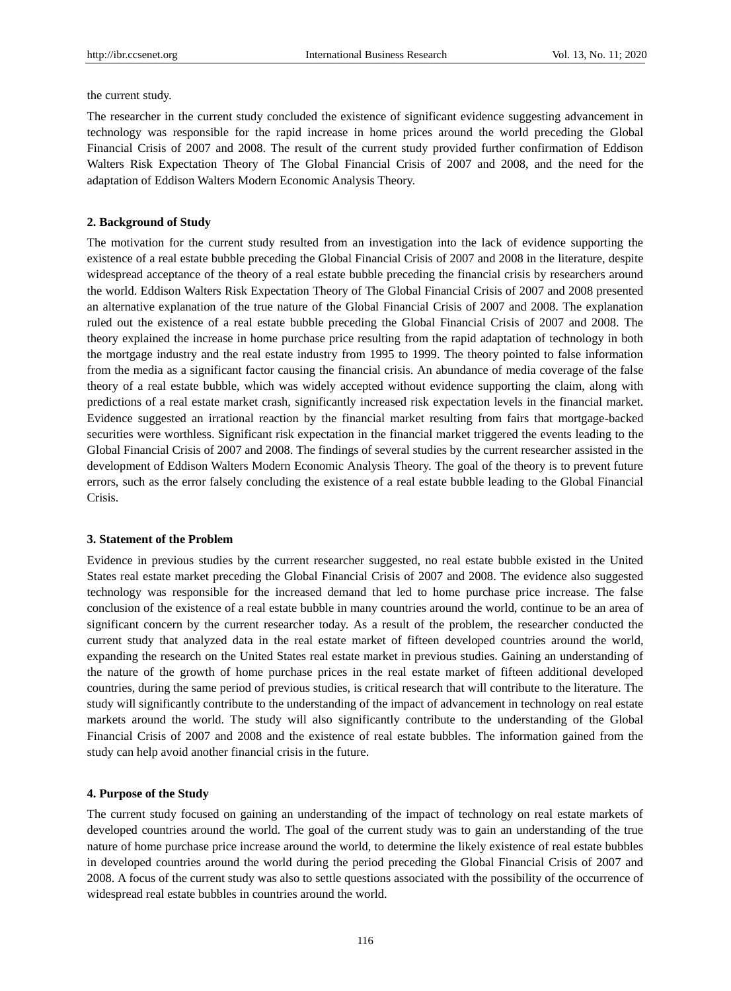the current study.

The researcher in the current study concluded the existence of significant evidence suggesting advancement in technology was responsible for the rapid increase in home prices around the world preceding the Global Financial Crisis of 2007 and 2008. The result of the current study provided further confirmation of Eddison Walters Risk Expectation Theory of The Global Financial Crisis of 2007 and 2008, and the need for the adaptation of Eddison Walters Modern Economic Analysis Theory.

#### **2. Background of Study**

The motivation for the current study resulted from an investigation into the lack of evidence supporting the existence of a real estate bubble preceding the Global Financial Crisis of 2007 and 2008 in the literature, despite widespread acceptance of the theory of a real estate bubble preceding the financial crisis by researchers around the world. Eddison Walters Risk Expectation Theory of The Global Financial Crisis of 2007 and 2008 presented an alternative explanation of the true nature of the Global Financial Crisis of 2007 and 2008. The explanation ruled out the existence of a real estate bubble preceding the Global Financial Crisis of 2007 and 2008. The theory explained the increase in home purchase price resulting from the rapid adaptation of technology in both the mortgage industry and the real estate industry from 1995 to 1999. The theory pointed to false information from the media as a significant factor causing the financial crisis. An abundance of media coverage of the false theory of a real estate bubble, which was widely accepted without evidence supporting the claim, along with predictions of a real estate market crash, significantly increased risk expectation levels in the financial market. Evidence suggested an irrational reaction by the financial market resulting from fairs that mortgage-backed securities were worthless. Significant risk expectation in the financial market triggered the events leading to the Global Financial Crisis of 2007 and 2008. The findings of several studies by the current researcher assisted in the development of Eddison Walters Modern Economic Analysis Theory. The goal of the theory is to prevent future errors, such as the error falsely concluding the existence of a real estate bubble leading to the Global Financial Crisis.

#### **3. Statement of the Problem**

Evidence in previous studies by the current researcher suggested, no real estate bubble existed in the United States real estate market preceding the Global Financial Crisis of 2007 and 2008. The evidence also suggested technology was responsible for the increased demand that led to home purchase price increase. The false conclusion of the existence of a real estate bubble in many countries around the world, continue to be an area of significant concern by the current researcher today. As a result of the problem, the researcher conducted the current study that analyzed data in the real estate market of fifteen developed countries around the world, expanding the research on the United States real estate market in previous studies. Gaining an understanding of the nature of the growth of home purchase prices in the real estate market of fifteen additional developed countries, during the same period of previous studies, is critical research that will contribute to the literature. The study will significantly contribute to the understanding of the impact of advancement in technology on real estate markets around the world. The study will also significantly contribute to the understanding of the Global Financial Crisis of 2007 and 2008 and the existence of real estate bubbles. The information gained from the study can help avoid another financial crisis in the future.

#### **4. Purpose of the Study**

The current study focused on gaining an understanding of the impact of technology on real estate markets of developed countries around the world. The goal of the current study was to gain an understanding of the true nature of home purchase price increase around the world, to determine the likely existence of real estate bubbles in developed countries around the world during the period preceding the Global Financial Crisis of 2007 and 2008. A focus of the current study was also to settle questions associated with the possibility of the occurrence of widespread real estate bubbles in countries around the world.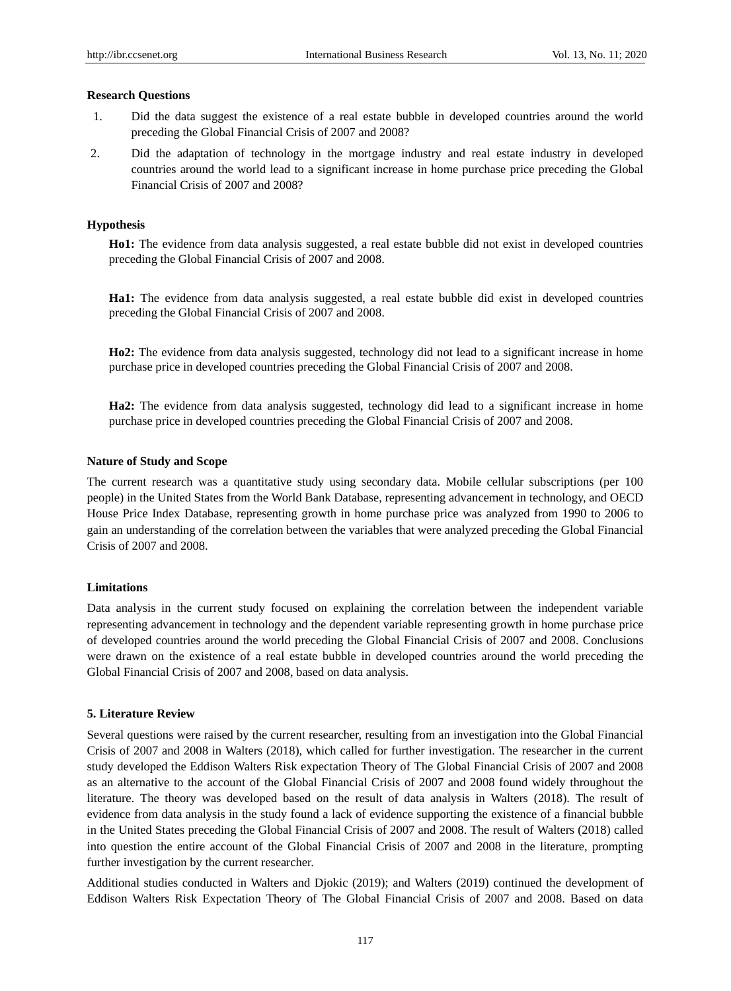## **Research Questions**

- 1. Did the data suggest the existence of a real estate bubble in developed countries around the world preceding the Global Financial Crisis of 2007 and 2008?
- 2. Did the adaptation of technology in the mortgage industry and real estate industry in developed countries around the world lead to a significant increase in home purchase price preceding the Global Financial Crisis of 2007 and 2008?

## **Hypothesis**

**Ho1:** The evidence from data analysis suggested, a real estate bubble did not exist in developed countries preceding the Global Financial Crisis of 2007 and 2008.

**Ha1:** The evidence from data analysis suggested, a real estate bubble did exist in developed countries preceding the Global Financial Crisis of 2007 and 2008.

**Ho2:** The evidence from data analysis suggested, technology did not lead to a significant increase in home purchase price in developed countries preceding the Global Financial Crisis of 2007 and 2008.

**Ha2:** The evidence from data analysis suggested, technology did lead to a significant increase in home purchase price in developed countries preceding the Global Financial Crisis of 2007 and 2008.

## **Nature of Study and Scope**

The current research was a quantitative study using secondary data. Mobile cellular subscriptions (per 100) people) in the United States from the World Bank Database, representing advancement in technology, and OECD House Price Index Database, representing growth in home purchase price was analyzed from 1990 to 2006 to gain an understanding of the correlation between the variables that were analyzed preceding the Global Financial Crisis of 2007 and 2008.

#### **Limitations**

Data analysis in the current study focused on explaining the correlation between the independent variable representing advancement in technology and the dependent variable representing growth in home purchase price of developed countries around the world preceding the Global Financial Crisis of 2007 and 2008. Conclusions were drawn on the existence of a real estate bubble in developed countries around the world preceding the Global Financial Crisis of 2007 and 2008, based on data analysis.

## **5. Literature Review**

Several questions were raised by the current researcher, resulting from an investigation into the Global Financial Crisis of 2007 and 2008 in Walters (2018), which called for further investigation. The researcher in the current study developed the Eddison Walters Risk expectation Theory of The Global Financial Crisis of 2007 and 2008 as an alternative to the account of the Global Financial Crisis of 2007 and 2008 found widely throughout the literature. The theory was developed based on the result of data analysis in Walters (2018). The result of evidence from data analysis in the study found a lack of evidence supporting the existence of a financial bubble in the United States preceding the Global Financial Crisis of 2007 and 2008. The result of Walters (2018) called into question the entire account of the Global Financial Crisis of 2007 and 2008 in the literature, prompting further investigation by the current researcher.

Additional studies conducted in Walters and Djokic (2019); and Walters (2019) continued the development of Eddison Walters Risk Expectation Theory of The Global Financial Crisis of 2007 and 2008. Based on data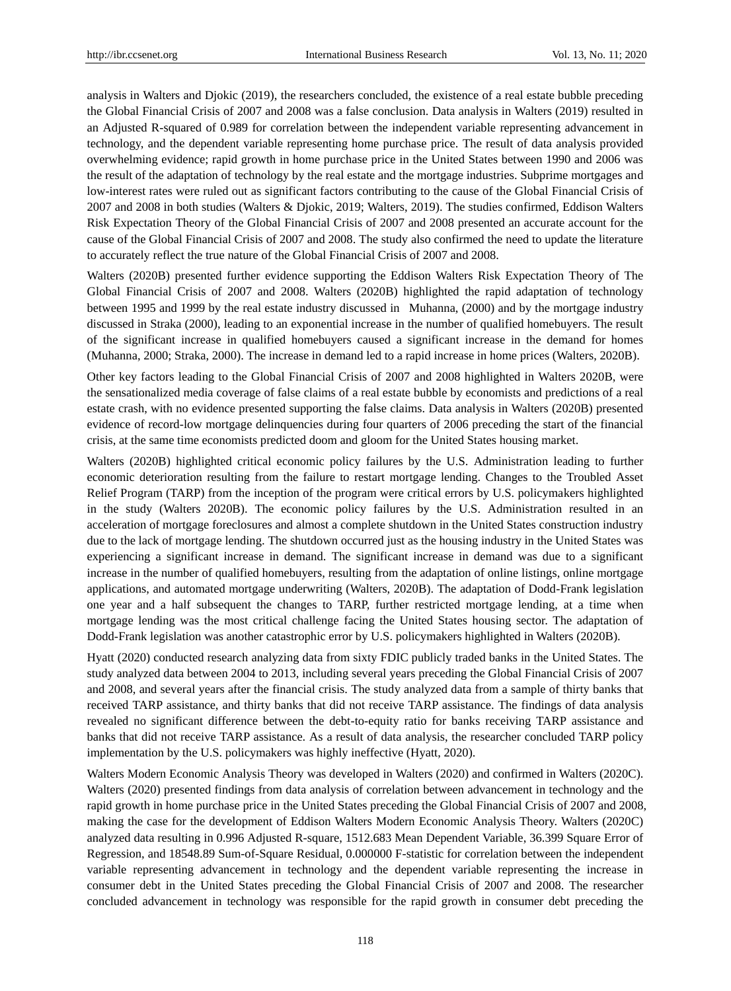analysis in Walters and Djokic (2019), the researchers concluded, the existence of a real estate bubble preceding the Global Financial Crisis of 2007 and 2008 was a false conclusion. Data analysis in Walters (2019) resulted in an Adjusted R-squared of 0.989 for correlation between the independent variable representing advancement in technology, and the dependent variable representing home purchase price. The result of data analysis provided overwhelming evidence; rapid growth in home purchase price in the United States between 1990 and 2006 was the result of the adaptation of technology by the real estate and the mortgage industries. Subprime mortgages and low-interest rates were ruled out as significant factors contributing to the cause of the Global Financial Crisis of 2007 and 2008 in both studies (Walters & Djokic, 2019; Walters, 2019). The studies confirmed, Eddison Walters Risk Expectation Theory of the Global Financial Crisis of 2007 and 2008 presented an accurate account for the cause of the Global Financial Crisis of 2007 and 2008. The study also confirmed the need to update the literature to accurately reflect the true nature of the Global Financial Crisis of 2007 and 2008.

Walters (2020B) presented further evidence supporting the Eddison Walters Risk Expectation Theory of The Global Financial Crisis of 2007 and 2008. Walters (2020B) highlighted the rapid adaptation of technology between 1995 and 1999 by the real estate industry discussed in Muhanna, (2000) and by the mortgage industry discussed in Straka (2000), leading to an exponential increase in the number of qualified homebuyers. The result of the significant increase in qualified homebuyers caused a significant increase in the demand for homes (Muhanna, 2000; Straka, 2000). The increase in demand led to a rapid increase in home prices (Walters, 2020B).

Other key factors leading to the Global Financial Crisis of 2007 and 2008 highlighted in Walters 2020B, were the sensationalized media coverage of false claims of a real estate bubble by economists and predictions of a real estate crash, with no evidence presented supporting the false claims. Data analysis in Walters (2020B) presented evidence of record-low mortgage delinquencies during four quarters of 2006 preceding the start of the financial crisis, at the same time economists predicted doom and gloom for the United States housing market.

Walters (2020B) highlighted critical economic policy failures by the U.S. Administration leading to further economic deterioration resulting from the failure to restart mortgage lending. Changes to the Troubled Asset Relief Program (TARP) from the inception of the program were critical errors by U.S. policymakers highlighted in the study (Walters 2020B). The economic policy failures by the U.S. Administration resulted in an acceleration of mortgage foreclosures and almost a complete shutdown in the United States construction industry due to the lack of mortgage lending. The shutdown occurred just as the housing industry in the United States was experiencing a significant increase in demand. The significant increase in demand was due to a significant increase in the number of qualified homebuyers, resulting from the adaptation of online listings, online mortgage applications, and automated mortgage underwriting (Walters, 2020B). The adaptation of Dodd-Frank legislation one year and a half subsequent the changes to TARP, further restricted mortgage lending, at a time when mortgage lending was the most critical challenge facing the United States housing sector. The adaptation of Dodd-Frank legislation was another catastrophic error by U.S. policymakers highlighted in Walters (2020B).

Hyatt (2020) conducted research analyzing data from sixty FDIC publicly traded banks in the United States. The study analyzed data between 2004 to 2013, including several years preceding the Global Financial Crisis of 2007 and 2008, and several years after the financial crisis. The study analyzed data from a sample of thirty banks that received TARP assistance, and thirty banks that did not receive TARP assistance. The findings of data analysis revealed no significant difference between the debt-to-equity ratio for banks receiving TARP assistance and banks that did not receive TARP assistance. As a result of data analysis, the researcher concluded TARP policy implementation by the U.S. policymakers was highly ineffective (Hyatt, 2020).

Walters Modern Economic Analysis Theory was developed in Walters (2020) and confirmed in Walters (2020C). Walters (2020) presented findings from data analysis of correlation between advancement in technology and the rapid growth in home purchase price in the United States preceding the Global Financial Crisis of 2007 and 2008, making the case for the development of Eddison Walters Modern Economic Analysis Theory. Walters (2020C) analyzed data resulting in 0.996 Adjusted R-square, 1512.683 Mean Dependent Variable, 36.399 Square Error of Regression, and 18548.89 Sum-of-Square Residual, 0.000000 F-statistic for correlation between the independent variable representing advancement in technology and the dependent variable representing the increase in consumer debt in the United States preceding the Global Financial Crisis of 2007 and 2008. The researcher concluded advancement in technology was responsible for the rapid growth in consumer debt preceding the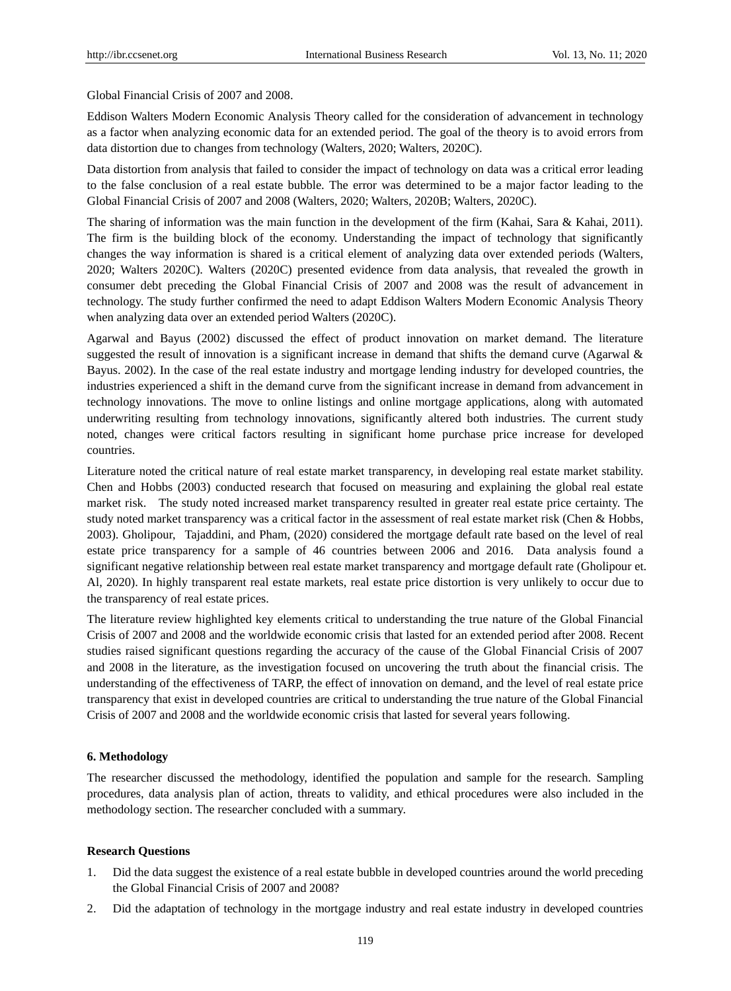Global Financial Crisis of 2007 and 2008.

Eddison Walters Modern Economic Analysis Theory called for the consideration of advancement in technology as a factor when analyzing economic data for an extended period. The goal of the theory is to avoid errors from data distortion due to changes from technology (Walters, 2020; Walters, 2020C).

Data distortion from analysis that failed to consider the impact of technology on data was a critical error leading to the false conclusion of a real estate bubble. The error was determined to be a major factor leading to the Global Financial Crisis of 2007 and 2008 (Walters, 2020; Walters, 2020B; Walters, 2020C).

The sharing of information was the main function in the development of the firm (Kahai, Sara & Kahai, 2011). The firm is the building block of the economy. Understanding the impact of technology that significantly changes the way information is shared is a critical element of analyzing data over extended periods (Walters, 2020; Walters 2020C). Walters (2020C) presented evidence from data analysis, that revealed the growth in consumer debt preceding the Global Financial Crisis of 2007 and 2008 was the result of advancement in technology. The study further confirmed the need to adapt Eddison Walters Modern Economic Analysis Theory when analyzing data over an extended period Walters (2020C).

Agarwal and Bayus (2002) discussed the effect of product innovation on market demand. The literature suggested the result of innovation is a significant increase in demand that shifts the demand curve (Agarwal  $\&$ Bayus. 2002). In the case of the real estate industry and mortgage lending industry for developed countries, the industries experienced a shift in the demand curve from the significant increase in demand from advancement in technology innovations. The move to online listings and online mortgage applications, along with automated underwriting resulting from technology innovations, significantly altered both industries. The current study noted, changes were critical factors resulting in significant home purchase price increase for developed countries.

Literature noted the critical nature of real estate market transparency, in developing real estate market stability. Chen and Hobbs (2003) conducted research that focused on measuring and explaining the global real estate market risk. The study noted increased market transparency resulted in greater real estate price certainty. The study noted market transparency was a critical factor in the assessment of real estate market risk (Chen & Hobbs, 2003). Gholipour, [Tajaddini,](https://scholar.google.com/citations?user=SpDVINoAAAAJ&hl=en&oi=sra) and Pham, (2020) considered the mortgage default rate based on the level of real estate price transparency for a sample of 46 countries between 2006 and 2016. Data analysis found a significant negative relationship between real estate market transparency and mortgage default rate (Gholipour et. Al, 2020). In highly transparent real estate markets, real estate price distortion is very unlikely to occur due to the transparency of real estate prices.

The literature review highlighted key elements critical to understanding the true nature of the Global Financial Crisis of 2007 and 2008 and the worldwide economic crisis that lasted for an extended period after 2008. Recent studies raised significant questions regarding the accuracy of the cause of the Global Financial Crisis of 2007 and 2008 in the literature, as the investigation focused on uncovering the truth about the financial crisis. The understanding of the effectiveness of TARP, the effect of innovation on demand, and the level of real estate price transparency that exist in developed countries are critical to understanding the true nature of the Global Financial Crisis of 2007 and 2008 and the worldwide economic crisis that lasted for several years following.

#### **6. Methodology**

The researcher discussed the methodology, identified the population and sample for the research. Sampling procedures, data analysis plan of action, threats to validity, and ethical procedures were also included in the methodology section. The researcher concluded with a summary.

#### **Research Questions**

- 1. Did the data suggest the existence of a real estate bubble in developed countries around the world preceding the Global Financial Crisis of 2007 and 2008?
- 2. Did the adaptation of technology in the mortgage industry and real estate industry in developed countries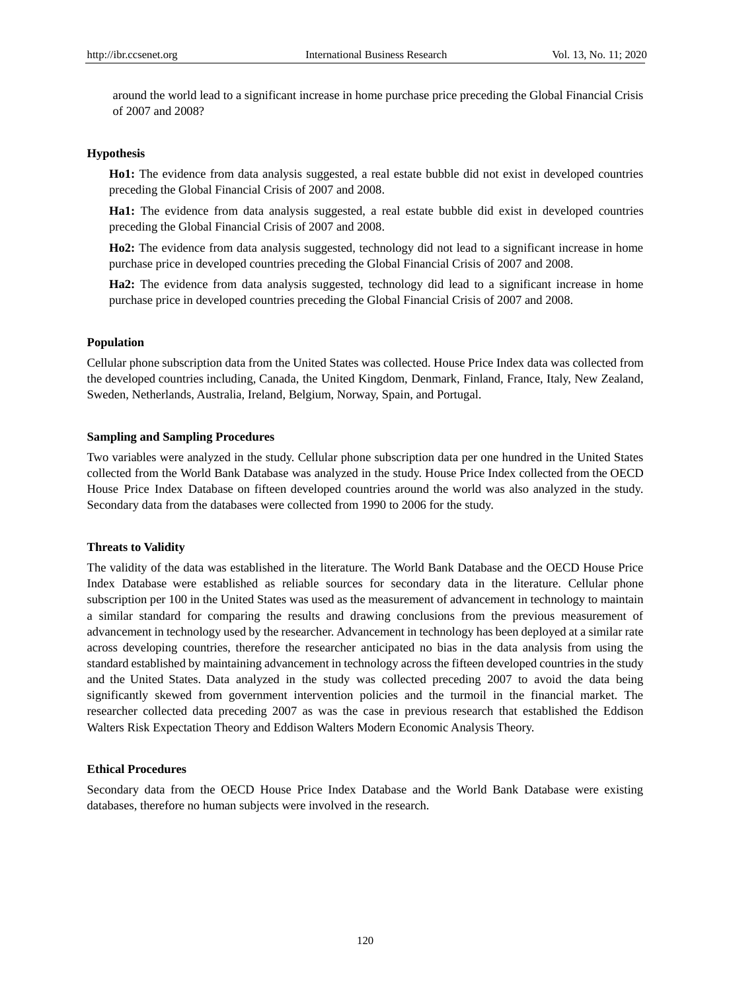around the world lead to a significant increase in home purchase price preceding the Global Financial Crisis of 2007 and 2008?

#### **Hypothesis**

**Ho1:** The evidence from data analysis suggested, a real estate bubble did not exist in developed countries preceding the Global Financial Crisis of 2007 and 2008.

**Ha1:** The evidence from data analysis suggested, a real estate bubble did exist in developed countries preceding the Global Financial Crisis of 2007 and 2008.

**Ho2:** The evidence from data analysis suggested, technology did not lead to a significant increase in home purchase price in developed countries preceding the Global Financial Crisis of 2007 and 2008.

**Ha2:** The evidence from data analysis suggested, technology did lead to a significant increase in home purchase price in developed countries preceding the Global Financial Crisis of 2007 and 2008.

## **Population**

Cellular phone subscription data from the United States was collected. House Price Index data was collected from the developed countries including, Canada, the United Kingdom, Denmark, Finland, France, Italy, New Zealand, Sweden, Netherlands, Australia, Ireland, Belgium, Norway, Spain, and Portugal.

## **Sampling and Sampling Procedures**

Two variables were analyzed in the study. Cellular phone subscription data per one hundred in the United States collected from the World Bank Database was analyzed in the study. House Price Index collected from the OECD House Price Index Database on fifteen developed countries around the world was also analyzed in the study. Secondary data from the databases were collected from 1990 to 2006 for the study.

#### **Threats to Validity**

The validity of the data was established in the literature. The World Bank Database and the OECD House Price Index Database were established as reliable sources for secondary data in the literature. Cellular phone subscription per 100 in the United States was used as the measurement of advancement in technology to maintain a similar standard for comparing the results and drawing conclusions from the previous measurement of advancement in technology used by the researcher. Advancement in technology has been deployed at a similar rate across developing countries, therefore the researcher anticipated no bias in the data analysis from using the standard established by maintaining advancement in technology across the fifteen developed countries in the study and the United States. Data analyzed in the study was collected preceding 2007 to avoid the data being significantly skewed from government intervention policies and the turmoil in the financial market. The researcher collected data preceding 2007 as was the case in previous research that established the Eddison Walters Risk Expectation Theory and Eddison Walters Modern Economic Analysis Theory.

#### **Ethical Procedures**

Secondary data from the OECD House Price Index Database and the World Bank Database were existing databases, therefore no human subjects were involved in the research.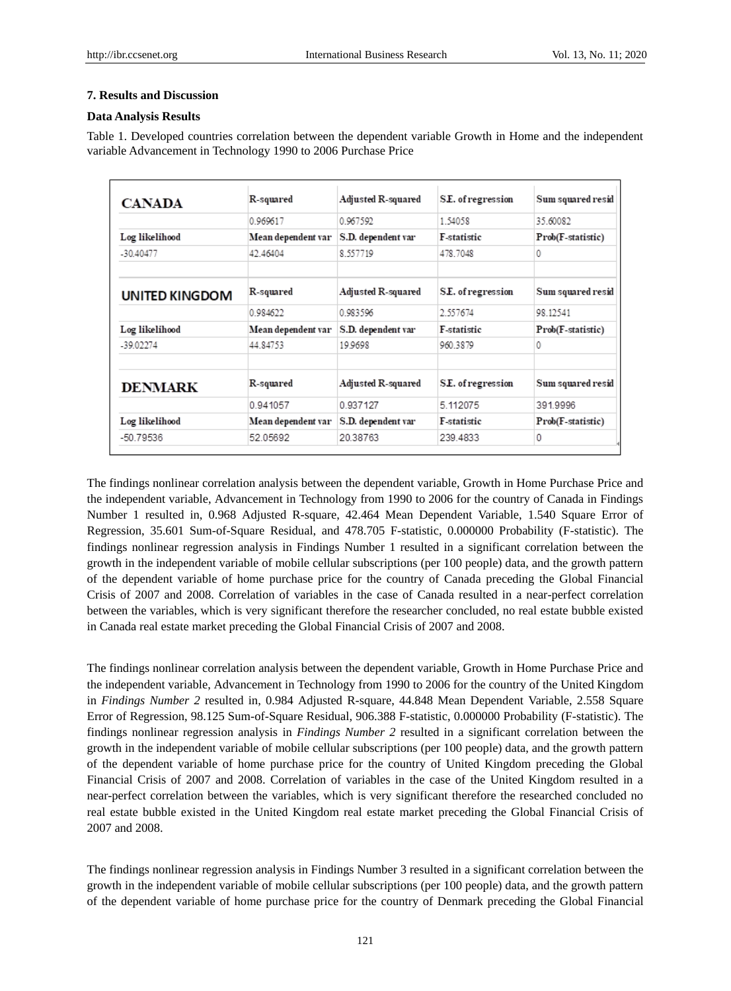#### **7. Results and Discussion**

## **Data Analysis Results**

Table 1. Developed countries correlation between the dependent variable Growth in Home and the independent variable Advancement in Technology 1990 to 2006 Purchase Price

| <b>CANADA</b>  | R-squared          | Adjusted R-squared | S.E. of regression | Sum squared resid |
|----------------|--------------------|--------------------|--------------------|-------------------|
|                | 0.969617           | 0.967592           | 1.54058            | 35.60082          |
| Log likelihood | Mean dependent var | S.D. dependent var | <b>F-statistic</b> | Prob(F-statistic) |
| $-30.40477$    | 42.46404           | 8.557719           | 478.7048           | 0                 |
|                |                    |                    |                    |                   |
| UNITED KINGDOM | R-squared          | Adjusted R-squared | S.E. of regression | Sum squared resid |
|                | 0.984622           | 0.983596           | 2.557674           | 98 12541          |
| Log likelihood | Mean dependent var | S.D. dependent var | <b>F-statistic</b> | Prob(F-statistic) |
| $-39.02274$    | 44.84753           | 19.9698            | 960.3879           | 0                 |
| <b>DENMARK</b> | R-squared          | Adjusted R-squared | S.E. of regression | Sum squared resid |
|                | 0.941057           | 0.937127           | 5.112075           | 391.9996          |
| Log likelihood | Mean dependent var | S.D. dependent var | <b>F-statistic</b> | Prob(F-statistic) |
| -50.79536      | 52.05692           | 20.38763           | 239.4833           | 0                 |

The findings nonlinear correlation analysis between the dependent variable, Growth in Home Purchase Price and the independent variable, Advancement in Technology from 1990 to 2006 for the country of Canada in Findings Number 1 resulted in, 0.968 Adjusted R-square, 42.464 Mean Dependent Variable, 1.540 Square Error of Regression, 35.601 Sum-of-Square Residual, and 478.705 F-statistic, 0.000000 Probability (F-statistic). The findings nonlinear regression analysis in Findings Number 1 resulted in a significant correlation between the growth in the independent variable of mobile cellular subscriptions (per 100 people) data, and the growth pattern of the dependent variable of home purchase price for the country of Canada preceding the Global Financial Crisis of 2007 and 2008. Correlation of variables in the case of Canada resulted in a near-perfect correlation between the variables, which is very significant therefore the researcher concluded, no real estate bubble existed in Canada real estate market preceding the Global Financial Crisis of 2007 and 2008.

The findings nonlinear correlation analysis between the dependent variable, Growth in Home Purchase Price and the independent variable, Advancement in Technology from 1990 to 2006 for the country of the United Kingdom in *Findings Number 2* resulted in, 0.984 Adjusted R-square, 44.848 Mean Dependent Variable, 2.558 Square Error of Regression, 98.125 Sum-of-Square Residual, 906.388 F-statistic, 0.000000 Probability (F-statistic). The findings nonlinear regression analysis in *Findings Number 2* resulted in a significant correlation between the growth in the independent variable of mobile cellular subscriptions (per 100 people) data, and the growth pattern of the dependent variable of home purchase price for the country of United Kingdom preceding the Global Financial Crisis of 2007 and 2008. Correlation of variables in the case of the United Kingdom resulted in a near-perfect correlation between the variables, which is very significant therefore the researched concluded no real estate bubble existed in the United Kingdom real estate market preceding the Global Financial Crisis of 2007 and 2008.

The findings nonlinear regression analysis in Findings Number 3 resulted in a significant correlation between the growth in the independent variable of mobile cellular subscriptions (per 100 people) data, and the growth pattern of the dependent variable of home purchase price for the country of Denmark preceding the Global Financial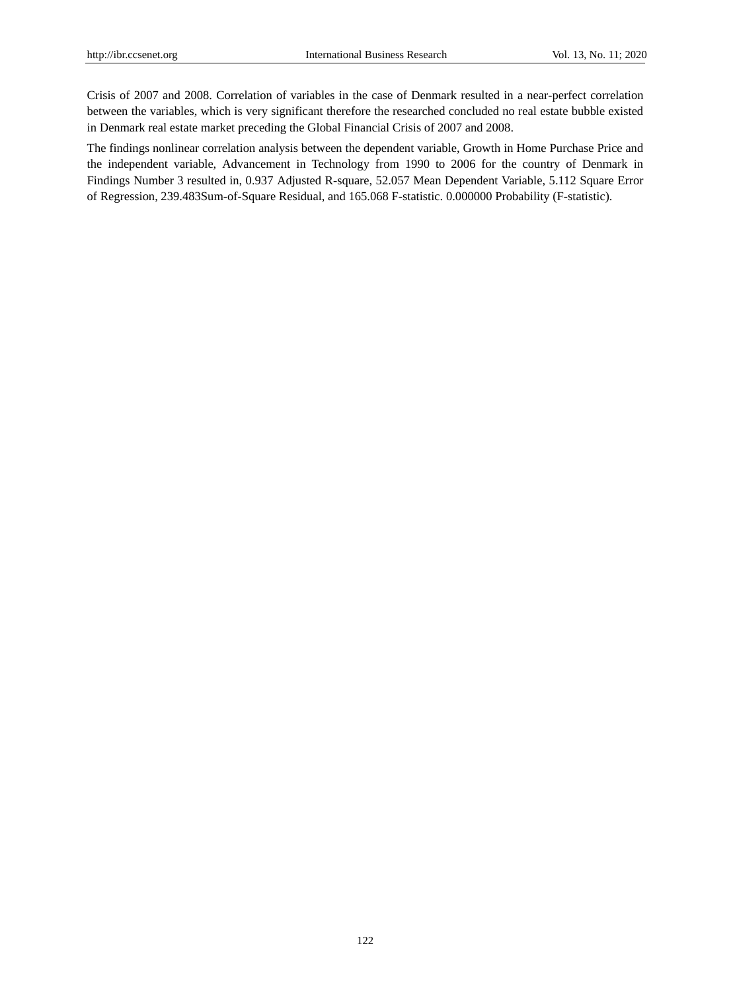Crisis of 2007 and 2008. Correlation of variables in the case of Denmark resulted in a near-perfect correlation between the variables, which is very significant therefore the researched concluded no real estate bubble existed in Denmark real estate market preceding the Global Financial Crisis of 2007 and 2008.

The findings nonlinear correlation analysis between the dependent variable, Growth in Home Purchase Price and the independent variable, Advancement in Technology from 1990 to 2006 for the country of Denmark in Findings Number 3 resulted in, 0.937 Adjusted R-square, 52.057 Mean Dependent Variable, 5.112 Square Error of Regression, 239.483Sum-of-Square Residual, and 165.068 F-statistic. 0.000000 Probability (F-statistic).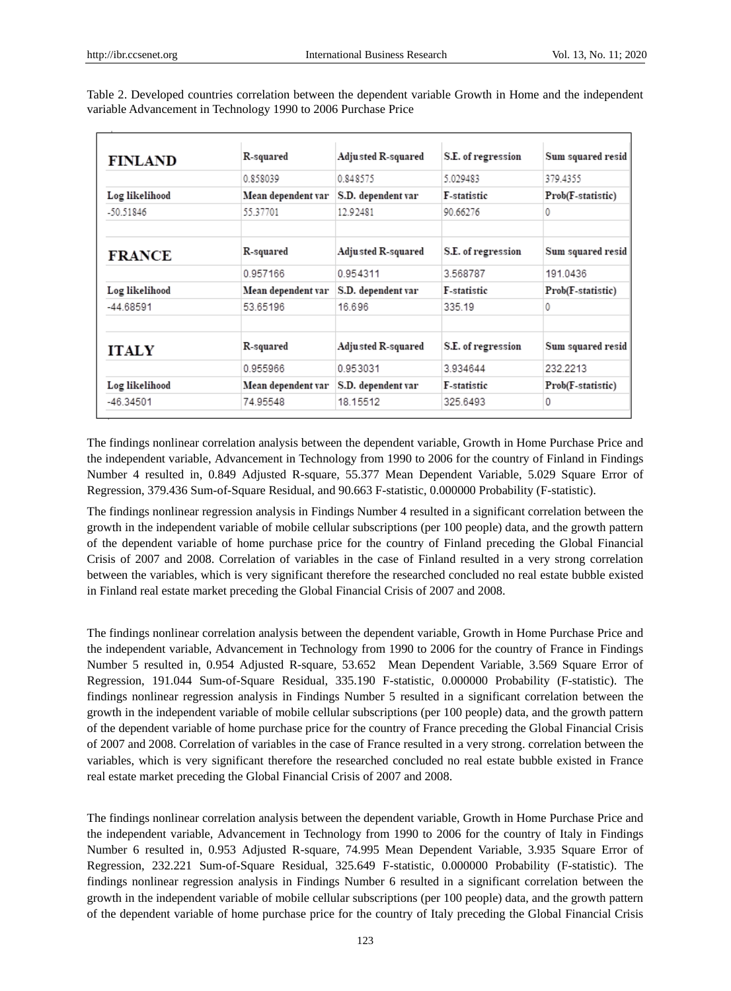| <b>FINLAND</b> | R-squared          | Adjusted R-squared | S.E. of regression | Sum squared resid |
|----------------|--------------------|--------------------|--------------------|-------------------|
|                | 0.858039           | 0.848575           | 5 029483           | 379 4355          |
| Log likelihood | Mean dependent var | S.D. dependent var | <b>F-statistic</b> | Prob(F-statistic) |
| -50.51846      | 55.37701           | 12.92481           | 90.66276           |                   |
| <b>FRANCE</b>  | <b>R-squared</b>   | Adjusted R-squared | S.E. of regression | Sum squared resid |
|                | 0.957166           | 0.954311           | 3.568787           | 191.0436          |
| Log likelihood | Mean dependent var | S.D. dependent var | F-statistic        | Prob(F-statistic) |
| $-44.68591$    | 53.65196           | 16.696             | 335.19             | 0                 |
| <b>ITALY</b>   | <b>R-squared</b>   | Adjusted R-squared | S.E. of regression | Sum squared resid |
|                | 0.955966           | 0.953031           | 3.934644           | 232.2213          |
| Log likelihood | Mean dependent var | S.D. dependent var | F-statistic        | Prob(F-statistic) |
| $-46.34501$    | 74.95548           | 18.15512           | 325.6493           | 0                 |

Table 2. Developed countries correlation between the dependent variable Growth in Home and the independent variable Advancement in Technology 1990 to 2006 Purchase Price

The findings nonlinear correlation analysis between the dependent variable, Growth in Home Purchase Price and the independent variable, Advancement in Technology from 1990 to 2006 for the country of Finland in Findings Number 4 resulted in, 0.849 Adjusted R-square, 55.377 Mean Dependent Variable, 5.029 Square Error of Regression, 379.436 Sum-of-Square Residual, and 90.663 F-statistic, 0.000000 Probability (F-statistic).

The findings nonlinear regression analysis in Findings Number 4 resulted in a significant correlation between the growth in the independent variable of mobile cellular subscriptions (per 100 people) data, and the growth pattern of the dependent variable of home purchase price for the country of Finland preceding the Global Financial Crisis of 2007 and 2008. Correlation of variables in the case of Finland resulted in a very strong correlation between the variables, which is very significant therefore the researched concluded no real estate bubble existed in Finland real estate market preceding the Global Financial Crisis of 2007 and 2008.

The findings nonlinear correlation analysis between the dependent variable, Growth in Home Purchase Price and the independent variable, Advancement in Technology from 1990 to 2006 for the country of France in Findings Number 5 resulted in, 0.954 Adjusted R-square, 53.652 Mean Dependent Variable, 3.569 Square Error of Regression, 191.044 Sum-of-Square Residual, 335.190 F-statistic, 0.000000 Probability (F-statistic). The findings nonlinear regression analysis in Findings Number 5 resulted in a significant correlation between the growth in the independent variable of mobile cellular subscriptions (per 100 people) data, and the growth pattern of the dependent variable of home purchase price for the country of France preceding the Global Financial Crisis of 2007 and 2008. Correlation of variables in the case of France resulted in a very strong. correlation between the variables, which is very significant therefore the researched concluded no real estate bubble existed in France real estate market preceding the Global Financial Crisis of 2007 and 2008.

The findings nonlinear correlation analysis between the dependent variable, Growth in Home Purchase Price and the independent variable, Advancement in Technology from 1990 to 2006 for the country of Italy in Findings Number 6 resulted in, 0.953 Adjusted R-square, 74.995 Mean Dependent Variable, 3.935 Square Error of Regression, 232.221 Sum-of-Square Residual, 325.649 F-statistic, 0.000000 Probability (F-statistic). The findings nonlinear regression analysis in Findings Number 6 resulted in a significant correlation between the growth in the independent variable of mobile cellular subscriptions (per 100 people) data, and the growth pattern of the dependent variable of home purchase price for the country of Italy preceding the Global Financial Crisis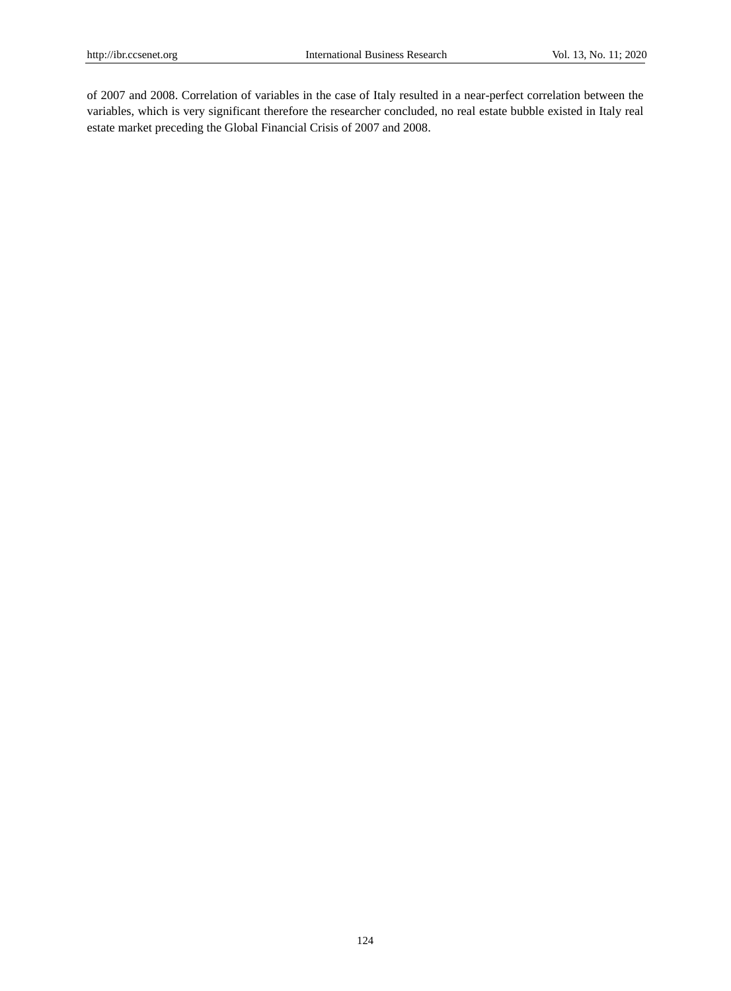of 2007 and 2008. Correlation of variables in the case of Italy resulted in a near-perfect correlation between the variables, which is very significant therefore the researcher concluded, no real estate bubble existed in Italy real estate market preceding the Global Financial Crisis of 2007 and 2008.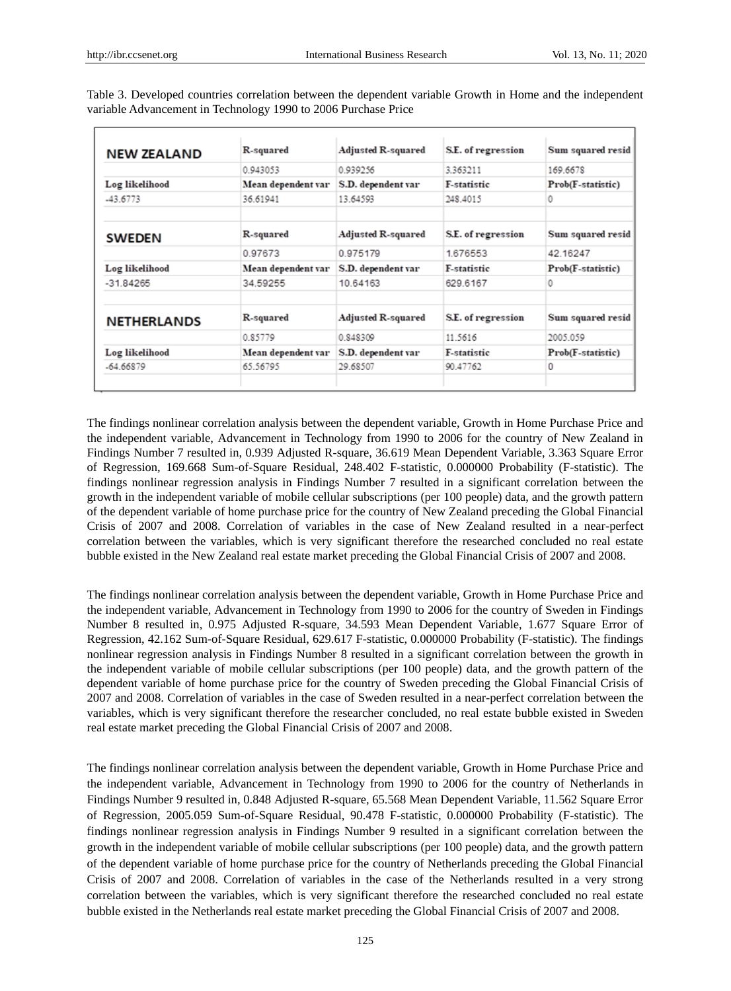| <b>NEW ZEALAND</b> | <b>R-squared</b>   | <b>Adjusted R-squared</b> | S.E. of regression | Sum squared resid |
|--------------------|--------------------|---------------------------|--------------------|-------------------|
|                    | 0.943053           | 0.939256                  | 3.363211           | 169.6678          |
| Log likelihood     | Mean dependent var | S.D. dependent var        | <b>F-statistic</b> | Prob(F-statistic) |
| $-43.6773$         | 36.61941           | 13.64593                  | 248.4015           |                   |
| <b>SWEDEN</b>      | R-squared          | <b>Adjusted R-squared</b> | S.E. of regression | Sum squared resid |
|                    | 0.97673            | 0.975179                  | 1.676553           | 42.16247          |
| Log likelihood     | Mean dependent var | S.D. dependent var        | <b>F-statistic</b> | Prob(F-statistic) |
| $-31.84265$        | 34.59255           | 10.64163                  | 629.6167           | n                 |
| <b>NETHERLANDS</b> | R-squared          | <b>Adjusted R-squared</b> | S.E. of regression | Sum squared resid |
|                    | 0.85779            | 0.848309                  | 11.5616            | 2005.059          |
| Log likelihood     | Mean dependent var | S.D. dependent var        | <b>F-statistic</b> | Prob(F-statistic) |
| $-64.66879$        | 65.56795           | 29.68507                  | 90.47762           | 0                 |

Table 3. Developed countries correlation between the dependent variable Growth in Home and the independent variable Advancement in Technology 1990 to 2006 Purchase Price

The findings nonlinear correlation analysis between the dependent variable, Growth in Home Purchase Price and the independent variable, Advancement in Technology from 1990 to 2006 for the country of New Zealand in Findings Number 7 resulted in, 0.939 Adjusted R-square, 36.619 Mean Dependent Variable, 3.363 Square Error of Regression, 169.668 Sum-of-Square Residual, 248.402 F-statistic, 0.000000 Probability (F-statistic). The findings nonlinear regression analysis in Findings Number 7 resulted in a significant correlation between the growth in the independent variable of mobile cellular subscriptions (per 100 people) data, and the growth pattern of the dependent variable of home purchase price for the country of New Zealand preceding the Global Financial Crisis of 2007 and 2008. Correlation of variables in the case of New Zealand resulted in a near-perfect correlation between the variables, which is very significant therefore the researched concluded no real estate bubble existed in the New Zealand real estate market preceding the Global Financial Crisis of 2007 and 2008.

The findings nonlinear correlation analysis between the dependent variable, Growth in Home Purchase Price and the independent variable, Advancement in Technology from 1990 to 2006 for the country of Sweden in Findings Number 8 resulted in, 0.975 Adjusted R-square, 34.593 Mean Dependent Variable, 1.677 Square Error of Regression, 42.162 Sum-of-Square Residual, 629.617 F-statistic, 0.000000 Probability (F-statistic). The findings nonlinear regression analysis in Findings Number 8 resulted in a significant correlation between the growth in the independent variable of mobile cellular subscriptions (per 100 people) data, and the growth pattern of the dependent variable of home purchase price for the country of Sweden preceding the Global Financial Crisis of 2007 and 2008. Correlation of variables in the case of Sweden resulted in a near-perfect correlation between the variables, which is very significant therefore the researcher concluded, no real estate bubble existed in Sweden real estate market preceding the Global Financial Crisis of 2007 and 2008.

The findings nonlinear correlation analysis between the dependent variable, Growth in Home Purchase Price and the independent variable, Advancement in Technology from 1990 to 2006 for the country of Netherlands in Findings Number 9 resulted in, 0.848 Adjusted R-square, 65.568 Mean Dependent Variable, 11.562 Square Error of Regression, 2005.059 Sum-of-Square Residual, 90.478 F-statistic, 0.000000 Probability (F-statistic). The findings nonlinear regression analysis in Findings Number 9 resulted in a significant correlation between the growth in the independent variable of mobile cellular subscriptions (per 100 people) data, and the growth pattern of the dependent variable of home purchase price for the country of Netherlands preceding the Global Financial Crisis of 2007 and 2008. Correlation of variables in the case of the Netherlands resulted in a very strong correlation between the variables, which is very significant therefore the researched concluded no real estate bubble existed in the Netherlands real estate market preceding the Global Financial Crisis of 2007 and 2008.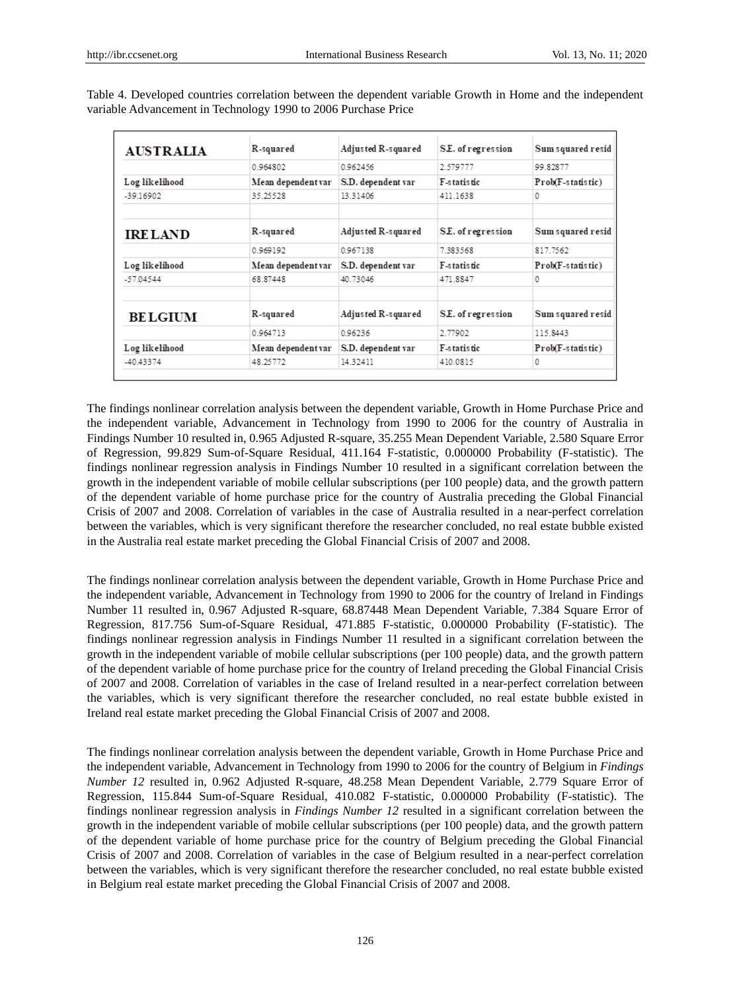| <b>AUSTRALIA</b> | R-squared          | Adjusted R-squared | S.E. of regression | Sum squared resid |
|------------------|--------------------|--------------------|--------------------|-------------------|
|                  | 0.964802           | 0.962456           | 2.579777           | 99.82877          |
| Log likelihood   | Mean dependent var | S.D. dependent var | <b>F-statistic</b> | Prob(F-statistic) |
| $-39.16902$      | 35.25528           | 13.31406           | 411.1638           | 0                 |
| <b>IRELAND</b>   | R-squared          | Adjusted R-squared | S.E. of regression | Sum squared resid |
|                  | 0.969192           | 0.967138           | 7383568            | 817.7562          |
| Log likelihood   | Mean dependent var | S.D. dependent var | <b>F-statistic</b> | Prob(F-statistic) |
| $-57.04544$      | 68.87448           | 40.73046           | 471.8847           | 0                 |
| <b>BELGIUM</b>   | R-squared          | Adjusted R-squared | S.E. of regression | Sum squared resid |
|                  | 0.964713           | 0.96236            | 2.77902            | 115.8443          |
| Log likelihood   | Mean dependent var | S.D. dependent var | <b>F-statistic</b> | Prob(F-statistic) |
| -40.43374        | 48.25772           | 14.32411           | 410.0815           | 0                 |

Table 4. Developed countries correlation between the dependent variable Growth in Home and the independent variable Advancement in Technology 1990 to 2006 Purchase Price

The findings nonlinear correlation analysis between the dependent variable, Growth in Home Purchase Price and the independent variable, Advancement in Technology from 1990 to 2006 for the country of Australia in Findings Number 10 resulted in, 0.965 Adjusted R-square, 35.255 Mean Dependent Variable, 2.580 Square Error of Regression, 99.829 Sum-of-Square Residual, 411.164 F-statistic, 0.000000 Probability (F-statistic). The findings nonlinear regression analysis in Findings Number 10 resulted in a significant correlation between the growth in the independent variable of mobile cellular subscriptions (per 100 people) data, and the growth pattern of the dependent variable of home purchase price for the country of Australia preceding the Global Financial Crisis of 2007 and 2008. Correlation of variables in the case of Australia resulted in a near-perfect correlation between the variables, which is very significant therefore the researcher concluded, no real estate bubble existed in the Australia real estate market preceding the Global Financial Crisis of 2007 and 2008.

The findings nonlinear correlation analysis between the dependent variable, Growth in Home Purchase Price and the independent variable, Advancement in Technology from 1990 to 2006 for the country of Ireland in Findings Number 11 resulted in, 0.967 Adjusted R-square, 68.87448 Mean Dependent Variable, 7.384 Square Error of Regression, 817.756 Sum-of-Square Residual, 471.885 F-statistic, 0.000000 Probability (F-statistic). The findings nonlinear regression analysis in Findings Number 11 resulted in a significant correlation between the growth in the independent variable of mobile cellular subscriptions (per 100 people) data, and the growth pattern of the dependent variable of home purchase price for the country of Ireland preceding the Global Financial Crisis of 2007 and 2008. Correlation of variables in the case of Ireland resulted in a near-perfect correlation between the variables, which is very significant therefore the researcher concluded, no real estate bubble existed in Ireland real estate market preceding the Global Financial Crisis of 2007 and 2008.

The findings nonlinear correlation analysis between the dependent variable, Growth in Home Purchase Price and the independent variable, Advancement in Technology from 1990 to 2006 for the country of Belgium in *Findings Number 12* resulted in, 0.962 Adjusted R-square, 48.258 Mean Dependent Variable, 2.779 Square Error of Regression, 115.844 Sum-of-Square Residual, 410.082 F-statistic, 0.000000 Probability (F-statistic). The findings nonlinear regression analysis in *Findings Number 12* resulted in a significant correlation between the growth in the independent variable of mobile cellular subscriptions (per 100 people) data, and the growth pattern of the dependent variable of home purchase price for the country of Belgium preceding the Global Financial Crisis of 2007 and 2008. Correlation of variables in the case of Belgium resulted in a near-perfect correlation between the variables, which is very significant therefore the researcher concluded, no real estate bubble existed in Belgium real estate market preceding the Global Financial Crisis of 2007 and 2008.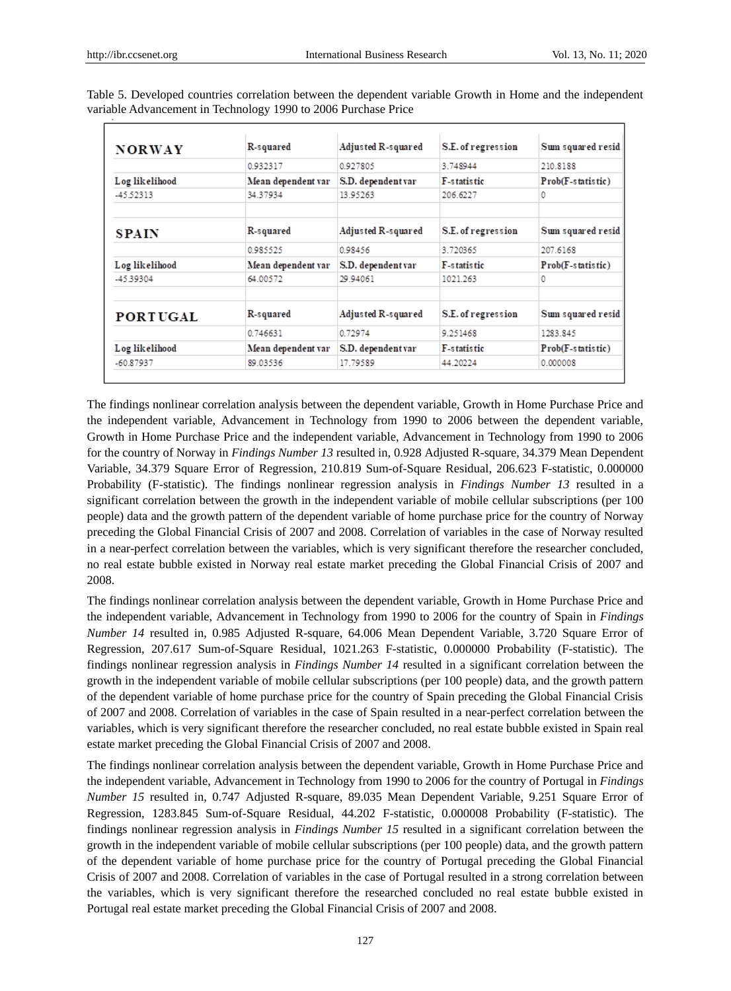| <b>NORWAY</b>   | R-squared          | Adjusted R-squared | S.E. of regression | Sum squared resid |
|-----------------|--------------------|--------------------|--------------------|-------------------|
|                 | 0932317            | 0.927805           | 3 748944           | 210.8188          |
| Log likelihood  | Mean dependent var | S.D. dependent var | F-s tatis tic      | Prob(F-statistic) |
| -45.52313       | 34.37934           | 13.95263           | 206.6227           | 0                 |
| <b>SPAIN</b>    | R-squared          | Adjusted R-squared | S.E. of regression | Sum squared resid |
|                 | 0.985525           | 0.98456            | 3.720365           | 207.6168          |
| Log likelihood  | Mean dependent var | S.D. dependent var | F-statistic        | Prob(F-statistic) |
| -4539304        | 64.00572           | 29.94061           | 1021.263           |                   |
| <b>PORTUGAL</b> | R-squared          | Adjusted R-squared | S.E. of regression | Sum squared resid |
|                 | 0.746631           | 0.72974            | 9.251468           | 1283.845          |
| Log likelihood  | Mean dependent var | S.D. dependent var | F-statistic        | Prob(F-statistic) |
| $-60.87937$     | 89.03536           | 17.79589           | 44.20224           | 0.000008          |

Table 5. Developed countries correlation between the dependent variable Growth in Home and the independent variable Advancement in Technology 1990 to 2006 Purchase Price

The findings nonlinear correlation analysis between the dependent variable, Growth in Home Purchase Price and the independent variable, Advancement in Technology from 1990 to 2006 between the dependent variable, Growth in Home Purchase Price and the independent variable, Advancement in Technology from 1990 to 2006 for the country of Norway in *Findings Number 13* resulted in, 0.928 Adjusted R-square, 34.379 Mean Dependent Variable, 34.379 Square Error of Regression, 210.819 Sum-of-Square Residual, 206.623 F-statistic, 0.000000 Probability (F-statistic). The findings nonlinear regression analysis in *Findings Number 13* resulted in a significant correlation between the growth in the independent variable of mobile cellular subscriptions (per 100 people) data and the growth pattern of the dependent variable of home purchase price for the country of Norway preceding the Global Financial Crisis of 2007 and 2008. Correlation of variables in the case of Norway resulted in a near-perfect correlation between the variables, which is very significant therefore the researcher concluded, no real estate bubble existed in Norway real estate market preceding the Global Financial Crisis of 2007 and 2008.

The findings nonlinear correlation analysis between the dependent variable, Growth in Home Purchase Price and the independent variable, Advancement in Technology from 1990 to 2006 for the country of Spain in *Findings Number 14* resulted in, 0.985 Adjusted R-square, 64.006 Mean Dependent Variable, 3.720 Square Error of Regression, 207.617 Sum-of-Square Residual, 1021.263 F-statistic, 0.000000 Probability (F-statistic). The findings nonlinear regression analysis in *Findings Number 14* resulted in a significant correlation between the growth in the independent variable of mobile cellular subscriptions (per 100 people) data, and the growth pattern of the dependent variable of home purchase price for the country of Spain preceding the Global Financial Crisis of 2007 and 2008. Correlation of variables in the case of Spain resulted in a near-perfect correlation between the variables, which is very significant therefore the researcher concluded, no real estate bubble existed in Spain real estate market preceding the Global Financial Crisis of 2007 and 2008.

The findings nonlinear correlation analysis between the dependent variable, Growth in Home Purchase Price and the independent variable, Advancement in Technology from 1990 to 2006 for the country of Portugal in *Findings Number 15* resulted in, 0.747 Adjusted R-square, 89.035 Mean Dependent Variable, 9.251 Square Error of Regression, 1283.845 Sum-of-Square Residual, 44.202 F-statistic, 0.000008 Probability (F-statistic). The findings nonlinear regression analysis in *Findings Number 15* resulted in a significant correlation between the growth in the independent variable of mobile cellular subscriptions (per 100 people) data, and the growth pattern of the dependent variable of home purchase price for the country of Portugal preceding the Global Financial Crisis of 2007 and 2008. Correlation of variables in the case of Portugal resulted in a strong correlation between the variables, which is very significant therefore the researched concluded no real estate bubble existed in Portugal real estate market preceding the Global Financial Crisis of 2007 and 2008.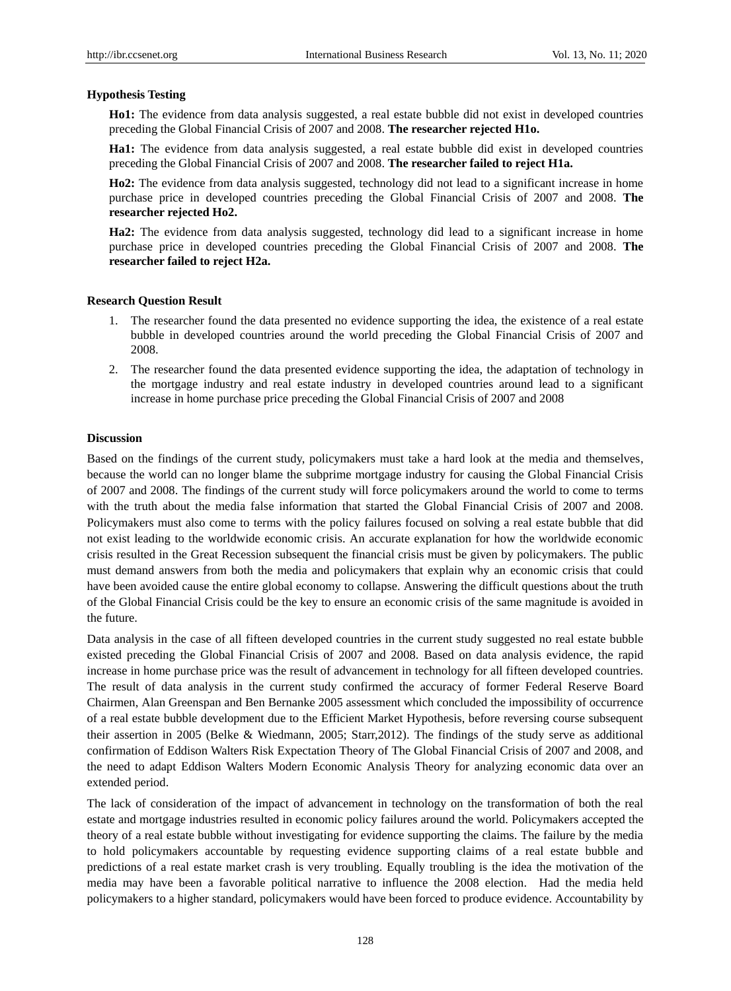## **Hypothesis Testing**

**Ho1:** The evidence from data analysis suggested, a real estate bubble did not exist in developed countries preceding the Global Financial Crisis of 2007 and 2008. **The researcher rejected H1o.**

**Ha1:** The evidence from data analysis suggested, a real estate bubble did exist in developed countries preceding the Global Financial Crisis of 2007 and 2008. **The researcher failed to reject H1a.**

**Ho2:** The evidence from data analysis suggested, technology did not lead to a significant increase in home purchase price in developed countries preceding the Global Financial Crisis of 2007 and 2008. **The researcher rejected Ho2.**

**Ha2:** The evidence from data analysis suggested, technology did lead to a significant increase in home purchase price in developed countries preceding the Global Financial Crisis of 2007 and 2008. **The researcher failed to reject H2a.**

## **Research Question Result**

- 1. The researcher found the data presented no evidence supporting the idea, the existence of a real estate bubble in developed countries around the world preceding the Global Financial Crisis of 2007 and 2008.
- 2. The researcher found the data presented evidence supporting the idea, the adaptation of technology in the mortgage industry and real estate industry in developed countries around lead to a significant increase in home purchase price preceding the Global Financial Crisis of 2007 and 2008

## **Discussion**

Based on the findings of the current study, policymakers must take a hard look at the media and themselves, because the world can no longer blame the subprime mortgage industry for causing the Global Financial Crisis of 2007 and 2008. The findings of the current study will force policymakers around the world to come to terms with the truth about the media false information that started the Global Financial Crisis of 2007 and 2008. Policymakers must also come to terms with the policy failures focused on solving a real estate bubble that did not exist leading to the worldwide economic crisis. An accurate explanation for how the worldwide economic crisis resulted in the Great Recession subsequent the financial crisis must be given by policymakers. The public must demand answers from both the media and policymakers that explain why an economic crisis that could have been avoided cause the entire global economy to collapse. Answering the difficult questions about the truth of the Global Financial Crisis could be the key to ensure an economic crisis of the same magnitude is avoided in the future.

Data analysis in the case of all fifteen developed countries in the current study suggested no real estate bubble existed preceding the Global Financial Crisis of 2007 and 2008. Based on data analysis evidence, the rapid increase in home purchase price was the result of advancement in technology for all fifteen developed countries. The result of data analysis in the current study confirmed the accuracy of former Federal Reserve Board Chairmen, Alan Greenspan and Ben Bernanke 2005 assessment which concluded the impossibility of occurrence of a real estate bubble development due to the Efficient Market Hypothesis, before reversing course subsequent their assertion in 2005 (Belke & Wiedmann, 2005; Starr,2012). The findings of the study serve as additional confirmation of Eddison Walters Risk Expectation Theory of The Global Financial Crisis of 2007 and 2008, and the need to adapt Eddison Walters Modern Economic Analysis Theory for analyzing economic data over an extended period.

The lack of consideration of the impact of advancement in technology on the transformation of both the real estate and mortgage industries resulted in economic policy failures around the world. Policymakers accepted the theory of a real estate bubble without investigating for evidence supporting the claims. The failure by the media to hold policymakers accountable by requesting evidence supporting claims of a real estate bubble and predictions of a real estate market crash is very troubling. Equally troubling is the idea the motivation of the media may have been a favorable political narrative to influence the 2008 election. Had the media held policymakers to a higher standard, policymakers would have been forced to produce evidence. Accountability by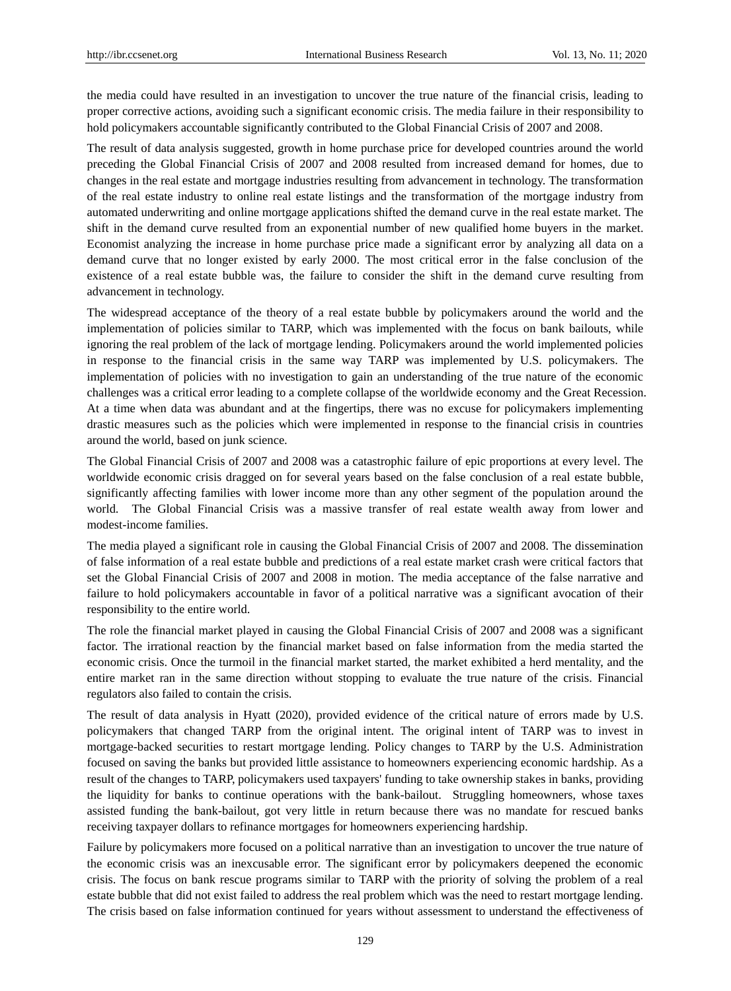the media could have resulted in an investigation to uncover the true nature of the financial crisis, leading to proper corrective actions, avoiding such a significant economic crisis. The media failure in their responsibility to hold policymakers accountable significantly contributed to the Global Financial Crisis of 2007 and 2008.

The result of data analysis suggested, growth in home purchase price for developed countries around the world preceding the Global Financial Crisis of 2007 and 2008 resulted from increased demand for homes, due to changes in the real estate and mortgage industries resulting from advancement in technology. The transformation of the real estate industry to online real estate listings and the transformation of the mortgage industry from automated underwriting and online mortgage applications shifted the demand curve in the real estate market. The shift in the demand curve resulted from an exponential number of new qualified home buyers in the market. Economist analyzing the increase in home purchase price made a significant error by analyzing all data on a demand curve that no longer existed by early 2000. The most critical error in the false conclusion of the existence of a real estate bubble was, the failure to consider the shift in the demand curve resulting from advancement in technology.

The widespread acceptance of the theory of a real estate bubble by policymakers around the world and the implementation of policies similar to TARP, which was implemented with the focus on bank bailouts, while ignoring the real problem of the lack of mortgage lending. Policymakers around the world implemented policies in response to the financial crisis in the same way TARP was implemented by U.S. policymakers. The implementation of policies with no investigation to gain an understanding of the true nature of the economic challenges was a critical error leading to a complete collapse of the worldwide economy and the Great Recession. At a time when data was abundant and at the fingertips, there was no excuse for policymakers implementing drastic measures such as the policies which were implemented in response to the financial crisis in countries around the world, based on junk science.

The Global Financial Crisis of 2007 and 2008 was a catastrophic failure of epic proportions at every level. The worldwide economic crisis dragged on for several years based on the false conclusion of a real estate bubble, significantly affecting families with lower income more than any other segment of the population around the world. The Global Financial Crisis was a massive transfer of real estate wealth away from lower and modest-income families.

The media played a significant role in causing the Global Financial Crisis of 2007 and 2008. The dissemination of false information of a real estate bubble and predictions of a real estate market crash were critical factors that set the Global Financial Crisis of 2007 and 2008 in motion. The media acceptance of the false narrative and failure to hold policymakers accountable in favor of a political narrative was a significant avocation of their responsibility to the entire world.

The role the financial market played in causing the Global Financial Crisis of 2007 and 2008 was a significant factor. The irrational reaction by the financial market based on false information from the media started the economic crisis. Once the turmoil in the financial market started, the market exhibited a herd mentality, and the entire market ran in the same direction without stopping to evaluate the true nature of the crisis. Financial regulators also failed to contain the crisis.

The result of data analysis in Hyatt (2020), provided evidence of the critical nature of errors made by U.S. policymakers that changed TARP from the original intent. The original intent of TARP was to invest in mortgage-backed securities to restart mortgage lending. Policy changes to TARP by the U.S. Administration focused on saving the banks but provided little assistance to homeowners experiencing economic hardship. As a result of the changes to TARP, policymakers used taxpayers' funding to take ownership stakes in banks, providing the liquidity for banks to continue operations with the bank-bailout. Struggling homeowners, whose taxes assisted funding the bank-bailout, got very little in return because there was no mandate for rescued banks receiving taxpayer dollars to refinance mortgages for homeowners experiencing hardship.

Failure by policymakers more focused on a political narrative than an investigation to uncover the true nature of the economic crisis was an inexcusable error. The significant error by policymakers deepened the economic crisis. The focus on bank rescue programs similar to TARP with the priority of solving the problem of a real estate bubble that did not exist failed to address the real problem which was the need to restart mortgage lending. The crisis based on false information continued for years without assessment to understand the effectiveness of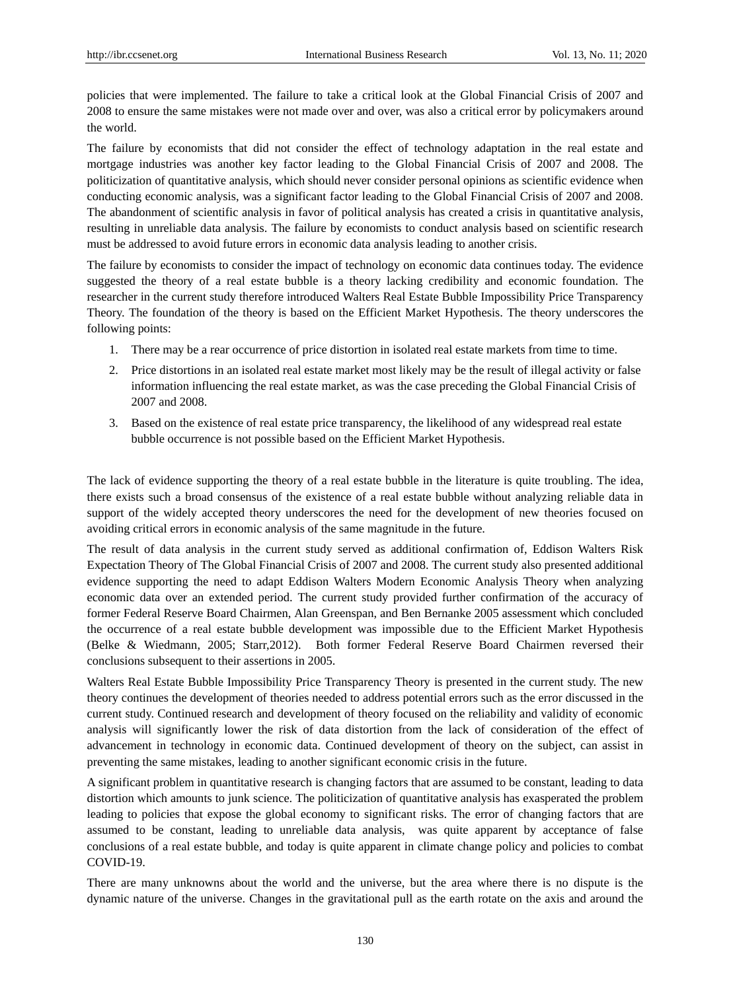policies that were implemented. The failure to take a critical look at the Global Financial Crisis of 2007 and 2008 to ensure the same mistakes were not made over and over, was also a critical error by policymakers around the world.

The failure by economists that did not consider the effect of technology adaptation in the real estate and mortgage industries was another key factor leading to the Global Financial Crisis of 2007 and 2008. The politicization of quantitative analysis, which should never consider personal opinions as scientific evidence when conducting economic analysis, was a significant factor leading to the Global Financial Crisis of 2007 and 2008. The abandonment of scientific analysis in favor of political analysis has created a crisis in quantitative analysis, resulting in unreliable data analysis. The failure by economists to conduct analysis based on scientific research must be addressed to avoid future errors in economic data analysis leading to another crisis.

The failure by economists to consider the impact of technology on economic data continues today. The evidence suggested the theory of a real estate bubble is a theory lacking credibility and economic foundation. The researcher in the current study therefore introduced Walters Real Estate Bubble Impossibility Price Transparency Theory. The foundation of the theory is based on the Efficient Market Hypothesis. The theory underscores the following points:

- 1. There may be a rear occurrence of price distortion in isolated real estate markets from time to time.
- 2. Price distortions in an isolated real estate market most likely may be the result of illegal activity or false information influencing the real estate market, as was the case preceding the Global Financial Crisis of 2007 and 2008.
- 3. Based on the existence of real estate price transparency, the likelihood of any widespread real estate bubble occurrence is not possible based on the Efficient Market Hypothesis.

The lack of evidence supporting the theory of a real estate bubble in the literature is quite troubling. The idea, there exists such a broad consensus of the existence of a real estate bubble without analyzing reliable data in support of the widely accepted theory underscores the need for the development of new theories focused on avoiding critical errors in economic analysis of the same magnitude in the future.

The result of data analysis in the current study served as additional confirmation of, Eddison Walters Risk Expectation Theory of The Global Financial Crisis of 2007 and 2008. The current study also presented additional evidence supporting the need to adapt Eddison Walters Modern Economic Analysis Theory when analyzing economic data over an extended period. The current study provided further confirmation of the accuracy of former Federal Reserve Board Chairmen, Alan Greenspan, and Ben Bernanke 2005 assessment which concluded the occurrence of a real estate bubble development was impossible due to the Efficient Market Hypothesis (Belke & Wiedmann, 2005; Starr,2012). Both former Federal Reserve Board Chairmen reversed their conclusions subsequent to their assertions in 2005.

Walters Real Estate Bubble Impossibility Price Transparency Theory is presented in the current study. The new theory continues the development of theories needed to address potential errors such as the error discussed in the current study. Continued research and development of theory focused on the reliability and validity of economic analysis will significantly lower the risk of data distortion from the lack of consideration of the effect of advancement in technology in economic data. Continued development of theory on the subject, can assist in preventing the same mistakes, leading to another significant economic crisis in the future.

A significant problem in quantitative research is changing factors that are assumed to be constant, leading to data distortion which amounts to junk science. The politicization of quantitative analysis has exasperated the problem leading to policies that expose the global economy to significant risks. The error of changing factors that are assumed to be constant, leading to unreliable data analysis, was quite apparent by acceptance of false conclusions of a real estate bubble, and today is quite apparent in climate change policy and policies to combat COVID-19.

There are many unknowns about the world and the universe, but the area where there is no dispute is the dynamic nature of the universe. Changes in the gravitational pull as the earth rotate on the axis and around the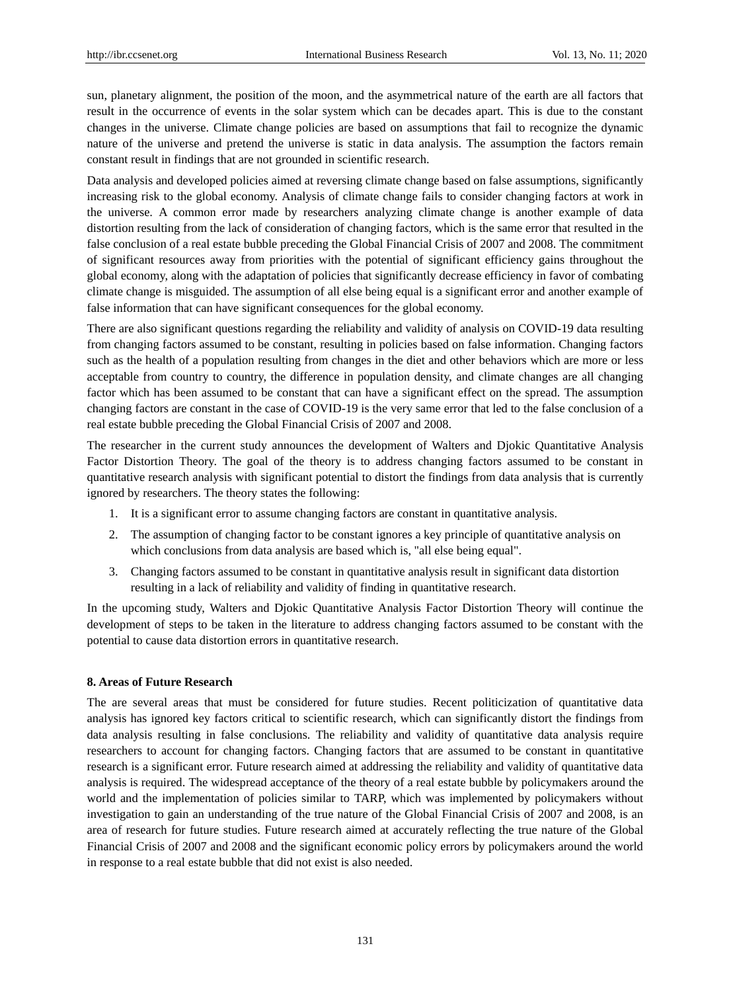sun, planetary alignment, the position of the moon, and the asymmetrical nature of the earth are all factors that result in the occurrence of events in the solar system which can be decades apart. This is due to the constant changes in the universe. Climate change policies are based on assumptions that fail to recognize the dynamic nature of the universe and pretend the universe is static in data analysis. The assumption the factors remain constant result in findings that are not grounded in scientific research.

Data analysis and developed policies aimed at reversing climate change based on false assumptions, significantly increasing risk to the global economy. Analysis of climate change fails to consider changing factors at work in the universe. A common error made by researchers analyzing climate change is another example of data distortion resulting from the lack of consideration of changing factors, which is the same error that resulted in the false conclusion of a real estate bubble preceding the Global Financial Crisis of 2007 and 2008. The commitment of significant resources away from priorities with the potential of significant efficiency gains throughout the global economy, along with the adaptation of policies that significantly decrease efficiency in favor of combating climate change is misguided. The assumption of all else being equal is a significant error and another example of false information that can have significant consequences for the global economy.

There are also significant questions regarding the reliability and validity of analysis on COVID-19 data resulting from changing factors assumed to be constant, resulting in policies based on false information. Changing factors such as the health of a population resulting from changes in the diet and other behaviors which are more or less acceptable from country to country, the difference in population density, and climate changes are all changing factor which has been assumed to be constant that can have a significant effect on the spread. The assumption changing factors are constant in the case of COVID-19 is the very same error that led to the false conclusion of a real estate bubble preceding the Global Financial Crisis of 2007 and 2008.

The researcher in the current study announces the development of Walters and Djokic Quantitative Analysis Factor Distortion Theory. The goal of the theory is to address changing factors assumed to be constant in quantitative research analysis with significant potential to distort the findings from data analysis that is currently ignored by researchers. The theory states the following:

- 1. It is a significant error to assume changing factors are constant in quantitative analysis.
- 2. The assumption of changing factor to be constant ignores a key principle of quantitative analysis on which conclusions from data analysis are based which is, "all else being equal".
- 3. Changing factors assumed to be constant in quantitative analysis result in significant data distortion resulting in a lack of reliability and validity of finding in quantitative research.

In the upcoming study, Walters and Djokic Quantitative Analysis Factor Distortion Theory will continue the development of steps to be taken in the literature to address changing factors assumed to be constant with the potential to cause data distortion errors in quantitative research.

## **8. Areas of Future Research**

The are several areas that must be considered for future studies. Recent politicization of quantitative data analysis has ignored key factors critical to scientific research, which can significantly distort the findings from data analysis resulting in false conclusions. The reliability and validity of quantitative data analysis require researchers to account for changing factors. Changing factors that are assumed to be constant in quantitative research is a significant error. Future research aimed at addressing the reliability and validity of quantitative data analysis is required. The widespread acceptance of the theory of a real estate bubble by policymakers around the world and the implementation of policies similar to TARP, which was implemented by policymakers without investigation to gain an understanding of the true nature of the Global Financial Crisis of 2007 and 2008, is an area of research for future studies. Future research aimed at accurately reflecting the true nature of the Global Financial Crisis of 2007 and 2008 and the significant economic policy errors by policymakers around the world in response to a real estate bubble that did not exist is also needed.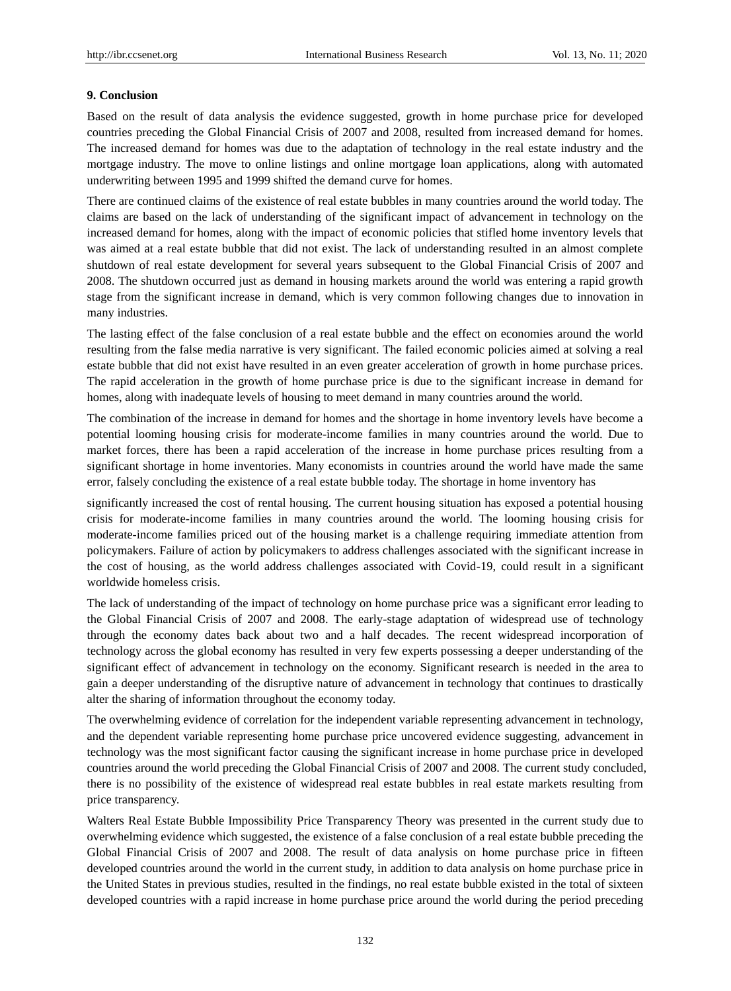#### **9. Conclusion**

Based on the result of data analysis the evidence suggested, growth in home purchase price for developed countries preceding the Global Financial Crisis of 2007 and 2008, resulted from increased demand for homes. The increased demand for homes was due to the adaptation of technology in the real estate industry and the mortgage industry. The move to online listings and online mortgage loan applications, along with automated underwriting between 1995 and 1999 shifted the demand curve for homes.

There are continued claims of the existence of real estate bubbles in many countries around the world today. The claims are based on the lack of understanding of the significant impact of advancement in technology on the increased demand for homes, along with the impact of economic policies that stifled home inventory levels that was aimed at a real estate bubble that did not exist. The lack of understanding resulted in an almost complete shutdown of real estate development for several years subsequent to the Global Financial Crisis of 2007 and 2008. The shutdown occurred just as demand in housing markets around the world was entering a rapid growth stage from the significant increase in demand, which is very common following changes due to innovation in many industries.

The lasting effect of the false conclusion of a real estate bubble and the effect on economies around the world resulting from the false media narrative is very significant. The failed economic policies aimed at solving a real estate bubble that did not exist have resulted in an even greater acceleration of growth in home purchase prices. The rapid acceleration in the growth of home purchase price is due to the significant increase in demand for homes, along with inadequate levels of housing to meet demand in many countries around the world.

The combination of the increase in demand for homes and the shortage in home inventory levels have become a potential looming housing crisis for moderate-income families in many countries around the world. Due to market forces, there has been a rapid acceleration of the increase in home purchase prices resulting from a significant shortage in home inventories. Many economists in countries around the world have made the same error, falsely concluding the existence of a real estate bubble today. The shortage in home inventory has

significantly increased the cost of rental housing. The current housing situation has exposed a potential housing crisis for moderate-income families in many countries around the world. The looming housing crisis for moderate-income families priced out of the housing market is a challenge requiring immediate attention from policymakers. Failure of action by policymakers to address challenges associated with the significant increase in the cost of housing, as the world address challenges associated with Covid-19, could result in a significant worldwide homeless crisis.

The lack of understanding of the impact of technology on home purchase price was a significant error leading to the Global Financial Crisis of 2007 and 2008. The early-stage adaptation of widespread use of technology through the economy dates back about two and a half decades. The recent widespread incorporation of technology across the global economy has resulted in very few experts possessing a deeper understanding of the significant effect of advancement in technology on the economy. Significant research is needed in the area to gain a deeper understanding of the disruptive nature of advancement in technology that continues to drastically alter the sharing of information throughout the economy today.

The overwhelming evidence of correlation for the independent variable representing advancement in technology, and the dependent variable representing home purchase price uncovered evidence suggesting, advancement in technology was the most significant factor causing the significant increase in home purchase price in developed countries around the world preceding the Global Financial Crisis of 2007 and 2008. The current study concluded, there is no possibility of the existence of widespread real estate bubbles in real estate markets resulting from price transparency.

Walters Real Estate Bubble Impossibility Price Transparency Theory was presented in the current study due to overwhelming evidence which suggested, the existence of a false conclusion of a real estate bubble preceding the Global Financial Crisis of 2007 and 2008. The result of data analysis on home purchase price in fifteen developed countries around the world in the current study, in addition to data analysis on home purchase price in the United States in previous studies, resulted in the findings, no real estate bubble existed in the total of sixteen developed countries with a rapid increase in home purchase price around the world during the period preceding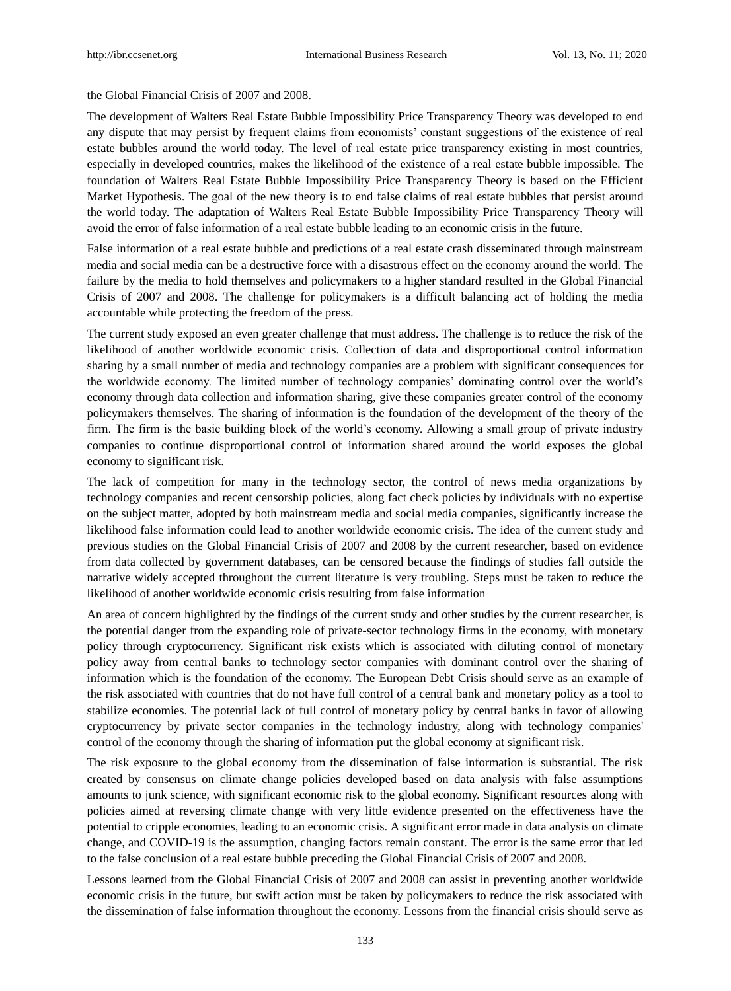the Global Financial Crisis of 2007 and 2008.

The development of Walters Real Estate Bubble Impossibility Price Transparency Theory was developed to end any dispute that may persist by frequent claims from economists' constant suggestions of the existence of real estate bubbles around the world today. The level of real estate price transparency existing in most countries, especially in developed countries, makes the likelihood of the existence of a real estate bubble impossible. The foundation of Walters Real Estate Bubble Impossibility Price Transparency Theory is based on the Efficient Market Hypothesis. The goal of the new theory is to end false claims of real estate bubbles that persist around the world today. The adaptation of Walters Real Estate Bubble Impossibility Price Transparency Theory will avoid the error of false information of a real estate bubble leading to an economic crisis in the future.

False information of a real estate bubble and predictions of a real estate crash disseminated through mainstream media and social media can be a destructive force with a disastrous effect on the economy around the world. The failure by the media to hold themselves and policymakers to a higher standard resulted in the Global Financial Crisis of 2007 and 2008. The challenge for policymakers is a difficult balancing act of holding the media accountable while protecting the freedom of the press.

The current study exposed an even greater challenge that must address. The challenge is to reduce the risk of the likelihood of another worldwide economic crisis. Collection of data and disproportional control information sharing by a small number of media and technology companies are a problem with significant consequences for the worldwide economy. The limited number of technology companies' dominating control over the world's economy through data collection and information sharing, give these companies greater control of the economy policymakers themselves. The sharing of information is the foundation of the development of the theory of the firm. The firm is the basic building block of the world's economy. Allowing a small group of private industry companies to continue disproportional control of information shared around the world exposes the global economy to significant risk.

The lack of competition for many in the technology sector, the control of news media organizations by technology companies and recent censorship policies, along fact check policies by individuals with no expertise on the subject matter, adopted by both mainstream media and social media companies, significantly increase the likelihood false information could lead to another worldwide economic crisis. The idea of the current study and previous studies on the Global Financial Crisis of 2007 and 2008 by the current researcher, based on evidence from data collected by government databases, can be censored because the findings of studies fall outside the narrative widely accepted throughout the current literature is very troubling. Steps must be taken to reduce the likelihood of another worldwide economic crisis resulting from false information

An area of concern highlighted by the findings of the current study and other studies by the current researcher, is the potential danger from the expanding role of private-sector technology firms in the economy, with monetary policy through cryptocurrency. Significant risk exists which is associated with diluting control of monetary policy away from central banks to technology sector companies with dominant control over the sharing of information which is the foundation of the economy. The European Debt Crisis should serve as an example of the risk associated with countries that do not have full control of a central bank and monetary policy as a tool to stabilize economies. The potential lack of full control of monetary policy by central banks in favor of allowing cryptocurrency by private sector companies in the technology industry, along with technology companies' control of the economy through the sharing of information put the global economy at significant risk.

The risk exposure to the global economy from the dissemination of false information is substantial. The risk created by consensus on climate change policies developed based on data analysis with false assumptions amounts to junk science, with significant economic risk to the global economy. Significant resources along with policies aimed at reversing climate change with very little evidence presented on the effectiveness have the potential to cripple economies, leading to an economic crisis. A significant error made in data analysis on climate change, and COVID-19 is the assumption, changing factors remain constant. The error is the same error that led to the false conclusion of a real estate bubble preceding the Global Financial Crisis of 2007 and 2008.

Lessons learned from the Global Financial Crisis of 2007 and 2008 can assist in preventing another worldwide economic crisis in the future, but swift action must be taken by policymakers to reduce the risk associated with the dissemination of false information throughout the economy. Lessons from the financial crisis should serve as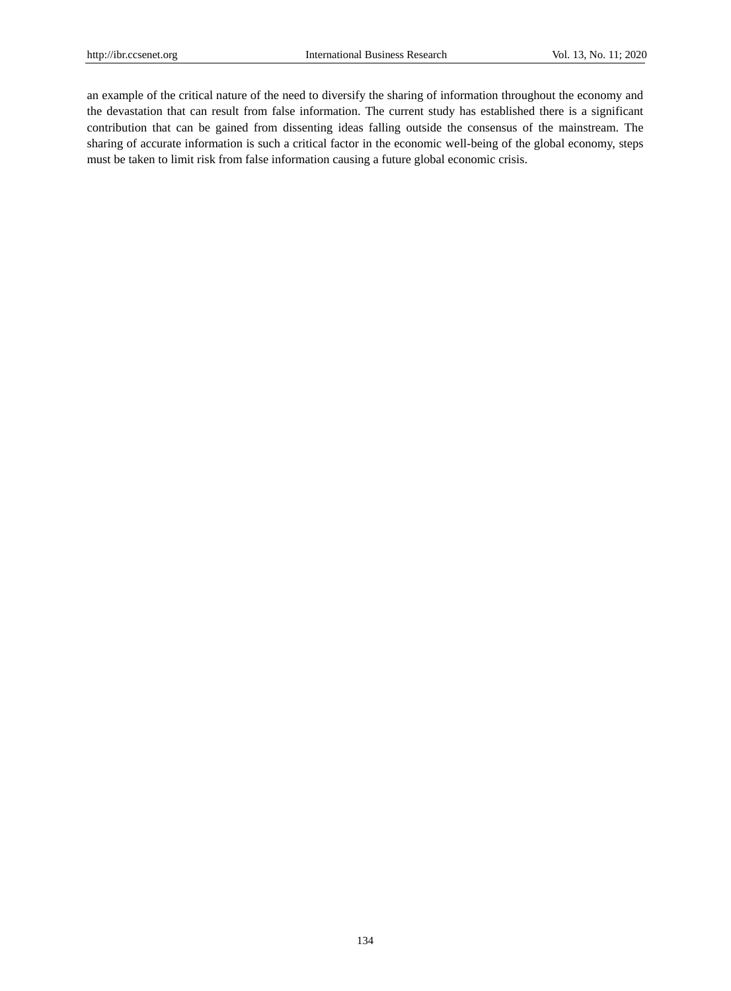an example of the critical nature of the need to diversify the sharing of information throughout the economy and the devastation that can result from false information. The current study has established there is a significant contribution that can be gained from dissenting ideas falling outside the consensus of the mainstream. The sharing of accurate information is such a critical factor in the economic well-being of the global economy, steps must be taken to limit risk from false information causing a future global economic crisis.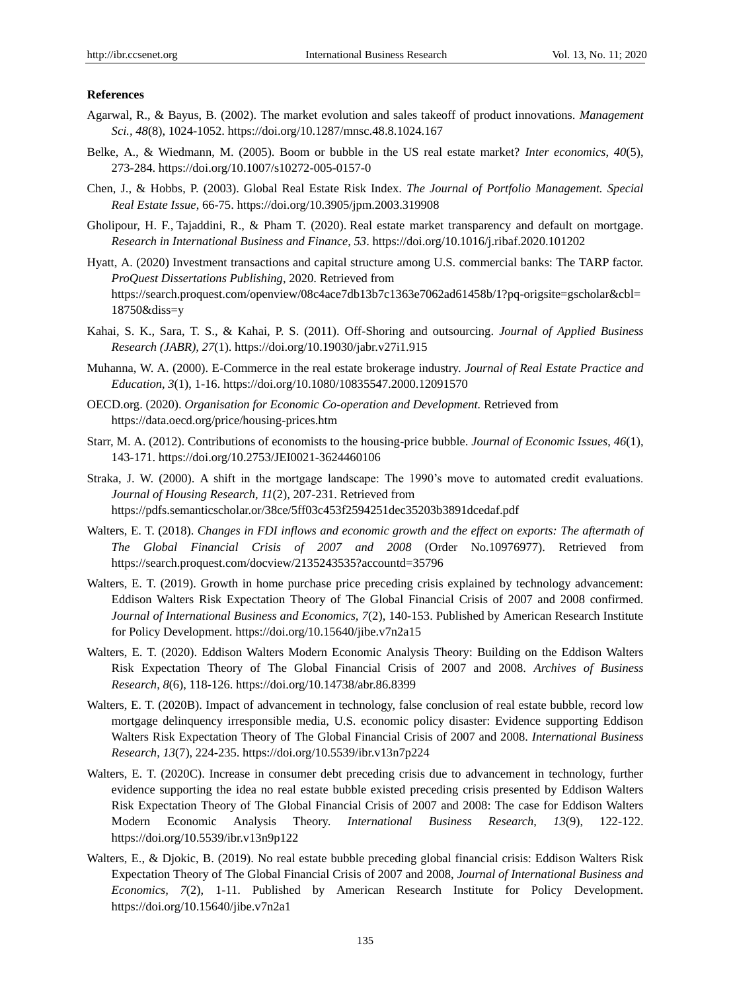## **References**

- Agarwal, R., & Bayus, B. (2002). The market evolution and sales takeoff of product innovations. *Management Sci., 48*(8), 1024-1052. https://doi.org/10.1287/mnsc.48.8.1024.167
- Belke, A., & Wiedmann, M. (2005). Boom or bubble in the US real estate market? *Inter economics*, *40*(5), 273-284. https://doi.org/10.1007/s10272-005-0157-0
- Chen, J., & Hobbs, P. (2003). Global Real Estate Risk Index. *The Journal of Portfolio Management. Special Real Estate Issue*, 66-75. https://doi.org/10.3905/jpm.2003.319908
- Gholipour, H. F., [Tajaddini,](https://scholar.google.com/citations?user=SpDVINoAAAAJ&hl=en&oi=sra) R., & Pham T. (2020). Real estate market transparency and default on mortgage. *[Research in International Business and Finance](https://www.sciencedirect.com/science/journal/02755319)*, *53*. https://doi.org/10.1016/j.ribaf.2020.101202
- Hyatt, A. (2020) Investment transactions and capital structure among U.S. commercial banks: The TARP factor. *ProQuest Dissertations Publishing*, 2020. Retrieved from https://search.proquest.com/openview/08c4ace7db13b7c1363e7062ad61458b/1?pq-origsite=gscholar&cbl= 18750&diss=y
- Kahai, S. K., Sara, T. S., & Kahai, P. S. (2011). Off-Shoring and outsourcing. *Journal of Applied Business Research (JABR), 27*(1).<https://doi.org/10.19030/jabr.v27i1.915>
- Muhanna, W. A. (2000). E-Commerce in the real estate brokerage industry. *Journal of Real Estate Practice and Education*, *3*(1), 1-16. https://doi.org/10.1080/10835547.2000.12091570
- OECD.org. (2020). *Organisation for Economic Co-operation and Development.* Retrieved from https://data.oecd.org/price/housing-prices.htm
- Starr, M. A. (2012). Contributions of economists to the housing-price bubble. *Journal of Economic Issues*, *46*(1), 143-171. https://doi.org/10.2753/JEI0021-3624460106
- Straka, J. W. (2000). A shift in the mortgage landscape: The 1990's move to automated credit evaluations. *Journal of Housing Research, 11*(2), 207-231. Retrieved from <https://pdfs.semanticscholar.or/38ce/5ff03c453f2594251dec35203b3891dcedaf.pdf>
- Walters, E. T. (2018). *Changes in FDI inflows and economic growth and the effect on exports: The aftermath of The Global Financial Crisis of 2007 and 2008* (Order No.10976977). Retrieved from https://search.proquest.com/docview/2135243535?accountd=35796
- Walters, E. T. (2019). Growth in home purchase price preceding crisis explained by technology advancement: Eddison Walters Risk Expectation Theory of The Global Financial Crisis of 2007 and 2008 confirmed. *Journal of International Business and Economics, 7*(2), 140-153. Published by American Research Institute for Policy Development. https://doi.org/10.15640/jibe.v7n2a15
- Walters, E. T. (2020). Eddison Walters Modern Economic Analysis Theory: Building on the Eddison Walters Risk Expectation Theory of The Global Financial Crisis of 2007 and 2008. *Archives of Business Research*, *8*(6), 118-126. https://doi.org/10.14738/abr.86.8399
- Walters, E. T. (2020B). Impact of advancement in technology, false conclusion of real estate bubble, record low mortgage delinquency irresponsible media, U.S. economic policy disaster: Evidence supporting Eddison Walters Risk Expectation Theory of The Global Financial Crisis of 2007 and 2008. *International Business Research*, *13*(7), 224-235. https://doi.org/10.5539/ibr.v13n7p224
- Walters, E. T. (2020C). Increase in consumer debt preceding crisis due to advancement in technology, further evidence supporting the idea no real estate bubble existed preceding crisis presented by Eddison Walters Risk Expectation Theory of The Global Financial Crisis of 2007 and 2008: The case for Eddison Walters Modern Economic Analysis Theory. *International Business Research*, *13*(9), 122-122. https://doi.org/10.5539/ibr.v13n9p122
- Walters, E., & Djokic, B. (2019). No real estate bubble preceding global financial crisis: Eddison Walters Risk Expectation Theory of The Global Financial Crisis of 2007 and 2008, *Journal of International Business and Economics, 7*(2), 1-11. Published by American Research Institute for Policy Development. https://doi.org/10.15640/jibe.v7n2a1